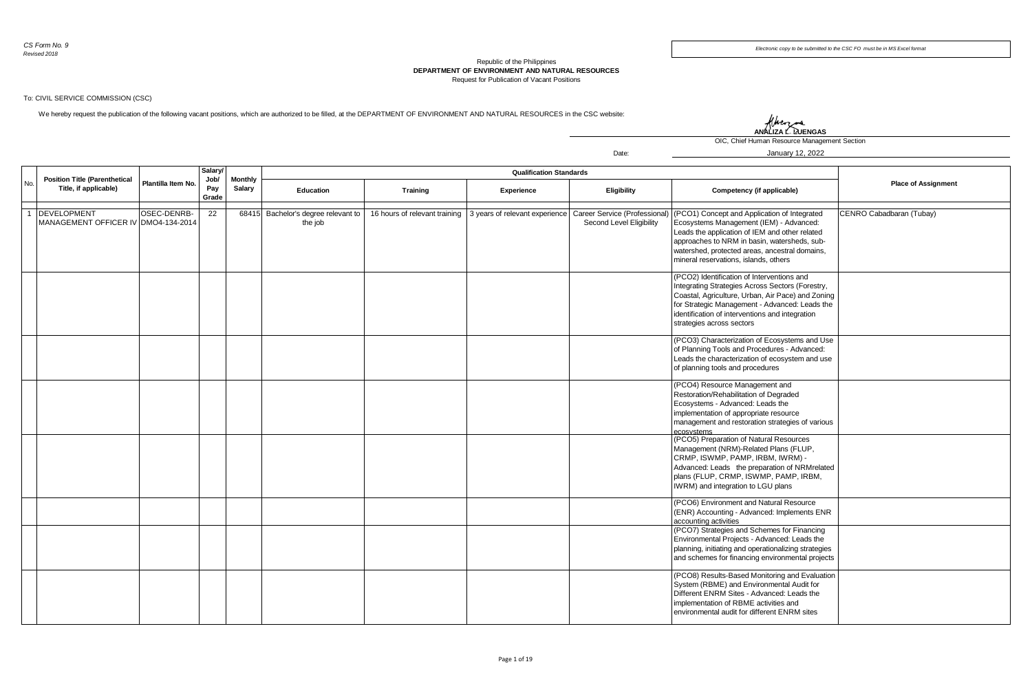## Republic of the Philippines **DEPARTMENT OF ENVIRONMENT AND NATURAL RESOURCES** Request for Publication of Vacant Positions

Date:

## To: CIVIL SERVICE COMMISSION (CSC)

We hereby request the publication of the following vacant positions, which are authorized to be filled, at the DEPARTMENT OF ENVIRONMENT AND NATURAL RESOURCES in the CSC website:

## Hhen **ANALIZA L. LUENGAS**

OIC, Chief Human Resource Management Section

January 12, 2022

|     |                                                               |                    | <b>Salary</b><br>Job/ |                          |                                          |                 |                                                              |                                                           |                                                                                                                                                                                                                                                                                       |                            |
|-----|---------------------------------------------------------------|--------------------|-----------------------|--------------------------|------------------------------------------|-----------------|--------------------------------------------------------------|-----------------------------------------------------------|---------------------------------------------------------------------------------------------------------------------------------------------------------------------------------------------------------------------------------------------------------------------------------------|----------------------------|
| No. | <b>Position Title (Parenthetical</b><br>Title, if applicable) | Plantilla Item No. | Pay<br>Grade          | <b>Monthly</b><br>Salary | Education                                | <b>Training</b> | Experience                                                   | Eligibility                                               | Competency (if applicable)                                                                                                                                                                                                                                                            | <b>Place of Assignment</b> |
|     | 1 DEVELOPMENT<br>MANAGEMENT OFFICER IV DMO4-134-2014          | OSEC-DENRB-        | 22                    | 68415                    | Bachelor's degree relevant to<br>the job |                 | 16 hours of relevant training 3 years of relevant experience | Career Service (Professional)<br>Second Level Eligibility | (PCO1) Concept and Application of Integrated<br>Ecosystems Management (IEM) - Advanced:<br>Leads the application of IEM and other related<br>approaches to NRM in basin, watersheds, sub-<br>watershed, protected areas, ancestral domains,<br>mineral reservations, islands, others  | CENRO Cabadbaran (Tubay)   |
|     |                                                               |                    |                       |                          |                                          |                 |                                                              |                                                           | (PCO2) Identification of Interventions and<br>Integrating Strategies Across Sectors (Forestry,<br>Coastal, Agriculture, Urban, Air Pace) and Zoning<br>for Strategic Management - Advanced: Leads the<br>identification of interventions and integration<br>strategies across sectors |                            |
|     |                                                               |                    |                       |                          |                                          |                 |                                                              |                                                           | (PCO3) Characterization of Ecosystems and Use<br>of Planning Tools and Procedures - Advanced:<br>Leads the characterization of ecosystem and use<br>of planning tools and procedures                                                                                                  |                            |
|     |                                                               |                    |                       |                          |                                          |                 |                                                              |                                                           | (PCO4) Resource Management and<br>Restoration/Rehabilitation of Degraded<br>Ecosystems - Advanced: Leads the<br>implementation of appropriate resource<br>management and restoration strategies of various<br>ecosystems                                                              |                            |
|     |                                                               |                    |                       |                          |                                          |                 |                                                              |                                                           | (PCO5) Preparation of Natural Resources<br>Management (NRM)-Related Plans (FLUP,<br>CRMP, ISWMP, PAMP, IRBM, IWRM) -<br>Advanced: Leads the preparation of NRMrelated<br>plans (FLUP, CRMP, ISWMP, PAMP, IRBM,<br>IWRM) and integration to LGU plans                                  |                            |
|     |                                                               |                    |                       |                          |                                          |                 |                                                              |                                                           | (PCO6) Environment and Natural Resource<br>(ENR) Accounting - Advanced: Implements ENR<br>accounting activities                                                                                                                                                                       |                            |
|     |                                                               |                    |                       |                          |                                          |                 |                                                              |                                                           | (PCO7) Strategies and Schemes for Financing<br>Environmental Projects - Advanced: Leads the<br>planning, initiating and operationalizing strategies<br>and schemes for financing environmental projects                                                                               |                            |
|     |                                                               |                    |                       |                          |                                          |                 |                                                              |                                                           | (PCO8) Results-Based Monitoring and Evaluation<br>System (RBME) and Environmental Audit for<br>Different ENRM Sites - Advanced: Leads the<br>implementation of RBME activities and<br>environmental audit for different ENRM sites                                                    |                            |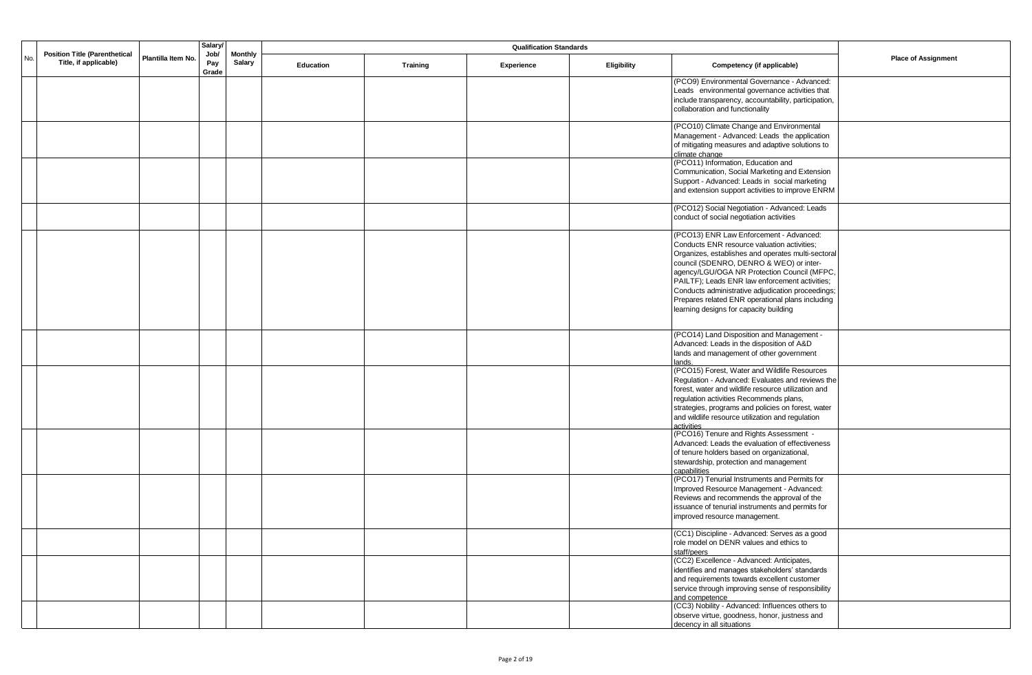|     |                                                               |                    | <b>Salary</b>        |               | <b>Qualification Standards</b><br><b>Monthly</b> |          |            |                    |                                                                                                         |                            |
|-----|---------------------------------------------------------------|--------------------|----------------------|---------------|--------------------------------------------------|----------|------------|--------------------|---------------------------------------------------------------------------------------------------------|----------------------------|
| No. | <b>Position Title (Parenthetical</b><br>Title, if applicable) | Plantilla Item No. | Job/<br>Pay<br>Grade | <b>Salary</b> | Education                                        | Training | Experience | <b>Eligibility</b> | Competency (if applicable)                                                                              | <b>Place of Assignment</b> |
|     |                                                               |                    |                      |               |                                                  |          |            |                    | (PCO9) Environmental Governance - Advanced:                                                             |                            |
|     |                                                               |                    |                      |               |                                                  |          |            |                    | Leads environmental governance activities that                                                          |                            |
|     |                                                               |                    |                      |               |                                                  |          |            |                    | include transparency, accountability, participation,<br>collaboration and functionality                 |                            |
|     |                                                               |                    |                      |               |                                                  |          |            |                    | (PCO10) Climate Change and Environmental                                                                |                            |
|     |                                                               |                    |                      |               |                                                  |          |            |                    | Management - Advanced: Leads the application                                                            |                            |
|     |                                                               |                    |                      |               |                                                  |          |            |                    | of mitigating measures and adaptive solutions to<br>climate change                                      |                            |
|     |                                                               |                    |                      |               |                                                  |          |            |                    | (PCO11) Information, Education and                                                                      |                            |
|     |                                                               |                    |                      |               |                                                  |          |            |                    | Communication, Social Marketing and Extension<br>Support - Advanced: Leads in social marketing          |                            |
|     |                                                               |                    |                      |               |                                                  |          |            |                    | and extension support activities to improve ENRM                                                        |                            |
|     |                                                               |                    |                      |               |                                                  |          |            |                    | (PCO12) Social Negotiation - Advanced: Leads                                                            |                            |
|     |                                                               |                    |                      |               |                                                  |          |            |                    | conduct of social negotiation activities                                                                |                            |
|     |                                                               |                    |                      |               |                                                  |          |            |                    | (PCO13) ENR Law Enforcement - Advanced:                                                                 |                            |
|     |                                                               |                    |                      |               |                                                  |          |            |                    | Conducts ENR resource valuation activities;<br>Organizes, establishes and operates multi-sectoral       |                            |
|     |                                                               |                    |                      |               |                                                  |          |            |                    | council (SDENRO, DENRO & WEO) or inter-                                                                 |                            |
|     |                                                               |                    |                      |               |                                                  |          |            |                    | agency/LGU/OGA NR Protection Council (MFPC,                                                             |                            |
|     |                                                               |                    |                      |               |                                                  |          |            |                    | PAILTF); Leads ENR law enforcement activities;                                                          |                            |
|     |                                                               |                    |                      |               |                                                  |          |            |                    | Conducts administrative adjudication proceedings;<br>Prepares related ENR operational plans including   |                            |
|     |                                                               |                    |                      |               |                                                  |          |            |                    | learning designs for capacity building                                                                  |                            |
|     |                                                               |                    |                      |               |                                                  |          |            |                    |                                                                                                         |                            |
|     |                                                               |                    |                      |               |                                                  |          |            |                    | (PCO14) Land Disposition and Management -<br>Advanced: Leads in the disposition of A&D                  |                            |
|     |                                                               |                    |                      |               |                                                  |          |            |                    | lands and management of other government                                                                |                            |
|     |                                                               |                    |                      |               |                                                  |          |            |                    | lands.                                                                                                  |                            |
|     |                                                               |                    |                      |               |                                                  |          |            |                    | (PCO15) Forest, Water and Wildlife Resources                                                            |                            |
|     |                                                               |                    |                      |               |                                                  |          |            |                    | Regulation - Advanced: Evaluates and reviews the<br>forest, water and wildlife resource utilization and |                            |
|     |                                                               |                    |                      |               |                                                  |          |            |                    | regulation activities Recommends plans,                                                                 |                            |
|     |                                                               |                    |                      |               |                                                  |          |            |                    | strategies, programs and policies on forest, water                                                      |                            |
|     |                                                               |                    |                      |               |                                                  |          |            |                    | and wildlife resource utilization and regulation<br>activities                                          |                            |
|     |                                                               |                    |                      |               |                                                  |          |            |                    | (PCO16) Tenure and Rights Assessment -                                                                  |                            |
|     |                                                               |                    |                      |               |                                                  |          |            |                    | Advanced: Leads the evaluation of effectiveness                                                         |                            |
|     |                                                               |                    |                      |               |                                                  |          |            |                    | of tenure holders based on organizational,<br>stewardship, protection and management                    |                            |
|     |                                                               |                    |                      |               |                                                  |          |            |                    | capabilities                                                                                            |                            |
|     |                                                               |                    |                      |               |                                                  |          |            |                    | (PCO17) Tenurial Instruments and Permits for                                                            |                            |
|     |                                                               |                    |                      |               |                                                  |          |            |                    | Improved Resource Management - Advanced:<br>Reviews and recommends the approval of the                  |                            |
|     |                                                               |                    |                      |               |                                                  |          |            |                    | issuance of tenurial instruments and permits for                                                        |                            |
|     |                                                               |                    |                      |               |                                                  |          |            |                    | improved resource management.                                                                           |                            |
|     |                                                               |                    |                      |               |                                                  |          |            |                    | (CC1) Discipline - Advanced: Serves as a good<br>role model on DENR values and ethics to                |                            |
|     |                                                               |                    |                      |               |                                                  |          |            |                    | staff/peers                                                                                             |                            |
|     |                                                               |                    |                      |               |                                                  |          |            |                    | (CC2) Excellence - Advanced: Anticipates,                                                               |                            |
|     |                                                               |                    |                      |               |                                                  |          |            |                    | identifies and manages stakeholders' standards<br>and requirements towards excellent customer           |                            |
|     |                                                               |                    |                      |               |                                                  |          |            |                    | service through improving sense of responsibility                                                       |                            |
|     |                                                               |                    |                      |               |                                                  |          |            |                    | and competence                                                                                          |                            |
|     |                                                               |                    |                      |               |                                                  |          |            |                    | (CC3) Nobility - Advanced: Influences others to<br>observe virtue, goodness, honor, justness and        |                            |
|     |                                                               |                    |                      |               |                                                  |          |            |                    | decency in all situations                                                                               |                            |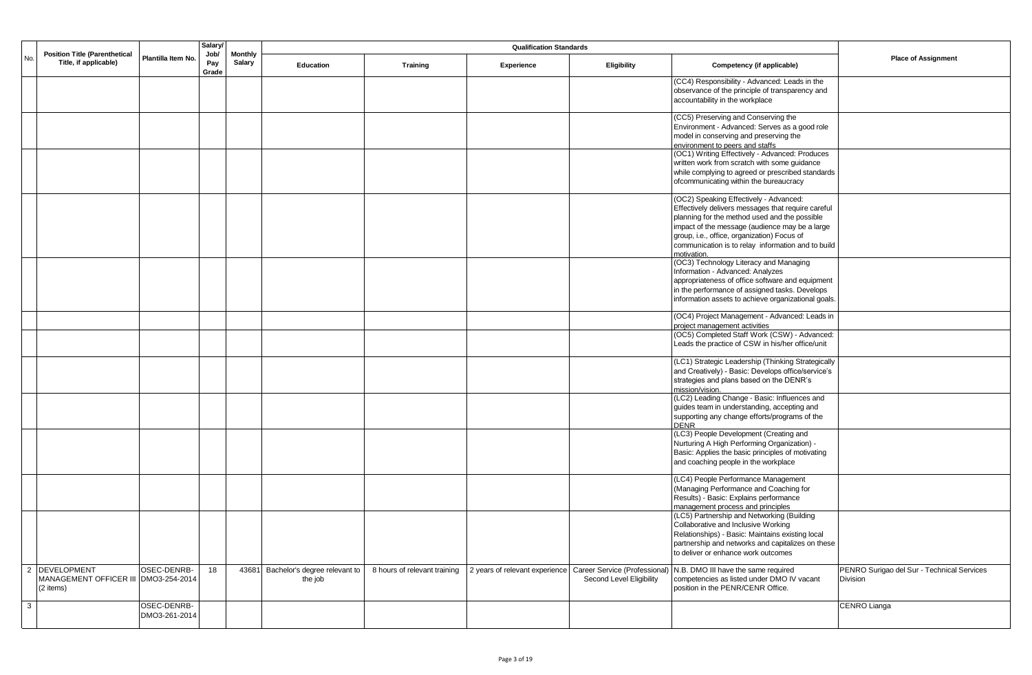|              | Salary/<br><b>Qualification Standards</b><br>Job/<br><b>Position Title (Parenthetical</b><br><b>Monthly</b><br>Plantilla Item No. |              |               |                                     |                              |                                                              |                          |                                                                                                     |                                            |
|--------------|-----------------------------------------------------------------------------------------------------------------------------------|--------------|---------------|-------------------------------------|------------------------------|--------------------------------------------------------------|--------------------------|-----------------------------------------------------------------------------------------------------|--------------------------------------------|
| No.          | Title, if applicable)                                                                                                             | Pay<br>Grade | <b>Salary</b> | <b>Education</b>                    | Training                     | Experience                                                   | Eligibility              | Competency (if applicable)                                                                          | <b>Place of Assignment</b>                 |
|              |                                                                                                                                   |              |               |                                     |                              |                                                              |                          | (CC4) Responsibility - Advanced: Leads in the                                                       |                                            |
|              |                                                                                                                                   |              |               |                                     |                              |                                                              |                          | observance of the principle of transparency and<br>accountability in the workplace                  |                                            |
|              |                                                                                                                                   |              |               |                                     |                              |                                                              |                          | (CC5) Preserving and Conserving the                                                                 |                                            |
|              |                                                                                                                                   |              |               |                                     |                              |                                                              |                          | Environment - Advanced: Serves as a good role<br>model in conserving and preserving the             |                                            |
|              |                                                                                                                                   |              |               |                                     |                              |                                                              |                          | environment to peers and staffs                                                                     |                                            |
|              |                                                                                                                                   |              |               |                                     |                              |                                                              |                          | (OC1) Writing Effectively - Advanced: Produces<br>written work from scratch with some guidance      |                                            |
|              |                                                                                                                                   |              |               |                                     |                              |                                                              |                          | while complying to agreed or prescribed standards                                                   |                                            |
|              |                                                                                                                                   |              |               |                                     |                              |                                                              |                          | ofcommunicating within the bureaucracy                                                              |                                            |
|              |                                                                                                                                   |              |               |                                     |                              |                                                              |                          | (OC2) Speaking Effectively - Advanced:                                                              |                                            |
|              |                                                                                                                                   |              |               |                                     |                              |                                                              |                          | Effectively delivers messages that require careful<br>planning for the method used and the possible |                                            |
|              |                                                                                                                                   |              |               |                                     |                              |                                                              |                          | impact of the message (audience may be a large                                                      |                                            |
|              |                                                                                                                                   |              |               |                                     |                              |                                                              |                          | group, i.e., office, organization) Focus of<br>communication is to relay information and to build   |                                            |
|              |                                                                                                                                   |              |               |                                     |                              |                                                              |                          | motivation.                                                                                         |                                            |
|              |                                                                                                                                   |              |               |                                     |                              |                                                              |                          | (OC3) Technology Literacy and Managing<br>Information - Advanced: Analyzes                          |                                            |
|              |                                                                                                                                   |              |               |                                     |                              |                                                              |                          | appropriateness of office software and equipment                                                    |                                            |
|              |                                                                                                                                   |              |               |                                     |                              |                                                              |                          | in the performance of assigned tasks. Develops                                                      |                                            |
|              |                                                                                                                                   |              |               |                                     |                              |                                                              |                          | information assets to achieve organizational goals.                                                 |                                            |
|              |                                                                                                                                   |              |               |                                     |                              |                                                              |                          | (OC4) Project Management - Advanced: Leads in<br>project management activities                      |                                            |
|              |                                                                                                                                   |              |               |                                     |                              |                                                              |                          | (OC5) Completed Staff Work (CSW) - Advanced:                                                        |                                            |
|              |                                                                                                                                   |              |               |                                     |                              |                                                              |                          | Leads the practice of CSW in his/her office/unit                                                    |                                            |
|              |                                                                                                                                   |              |               |                                     |                              |                                                              |                          | (LC1) Strategic Leadership (Thinking Strategically                                                  |                                            |
|              |                                                                                                                                   |              |               |                                     |                              |                                                              |                          | and Creatively) - Basic: Develops office/service's<br>strategies and plans based on the DENR's      |                                            |
|              |                                                                                                                                   |              |               |                                     |                              |                                                              |                          | mission/vision.                                                                                     |                                            |
|              |                                                                                                                                   |              |               |                                     |                              |                                                              |                          | (LC2) Leading Change - Basic: Influences and<br>guides team in understanding, accepting and         |                                            |
|              |                                                                                                                                   |              |               |                                     |                              |                                                              |                          | supporting any change efforts/programs of the                                                       |                                            |
|              |                                                                                                                                   |              |               |                                     |                              |                                                              |                          | <b>DENR</b>                                                                                         |                                            |
|              |                                                                                                                                   |              |               |                                     |                              |                                                              |                          | (LC3) People Development (Creating and<br>Nurturing A High Performing Organization) -               |                                            |
|              |                                                                                                                                   |              |               |                                     |                              |                                                              |                          | Basic: Applies the basic principles of motivating                                                   |                                            |
|              |                                                                                                                                   |              |               |                                     |                              |                                                              |                          | and coaching people in the workplace                                                                |                                            |
|              |                                                                                                                                   |              |               |                                     |                              |                                                              |                          | (LC4) People Performance Management<br>(Managing Performance and Coaching for                       |                                            |
|              |                                                                                                                                   |              |               |                                     |                              |                                                              |                          | Results) - Basic: Explains performance                                                              |                                            |
|              |                                                                                                                                   |              |               |                                     |                              |                                                              |                          | management process and principles                                                                   |                                            |
|              |                                                                                                                                   |              |               |                                     |                              |                                                              |                          | (LC5) Partnership and Networking (Building<br>Collaborative and Inclusive Working                   |                                            |
|              |                                                                                                                                   |              |               |                                     |                              |                                                              |                          | Relationships) - Basic: Maintains existing local                                                    |                                            |
|              |                                                                                                                                   |              |               |                                     |                              |                                                              |                          | partnership and networks and capitalizes on these<br>to deliver or enhance work outcomes            |                                            |
|              | 2 DEVELOPMENT<br>OSEC-DENRB-                                                                                                      | 18           |               | 43681 Bachelor's degree relevant to | 8 hours of relevant training | 2 years of relevant experience Career Service (Professional) |                          | N.B. DMO III have the same required                                                                 | PENRO Surigao del Sur - Technical Services |
|              | MANAGEMENT OFFICER III DMO3-254-2014                                                                                              |              |               | the job                             |                              |                                                              | Second Level Eligibility | competencies as listed under DMO IV vacant                                                          | Division                                   |
|              | (2 items)                                                                                                                         |              |               |                                     |                              |                                                              |                          | position in the PENR/CENR Office.                                                                   |                                            |
| $\mathbf{3}$ | OSEC-DENRB-                                                                                                                       |              |               |                                     |                              |                                                              |                          |                                                                                                     | <b>CENRO Lianga</b>                        |
|              | DMO3-261-2014                                                                                                                     |              |               |                                     |                              |                                                              |                          |                                                                                                     |                                            |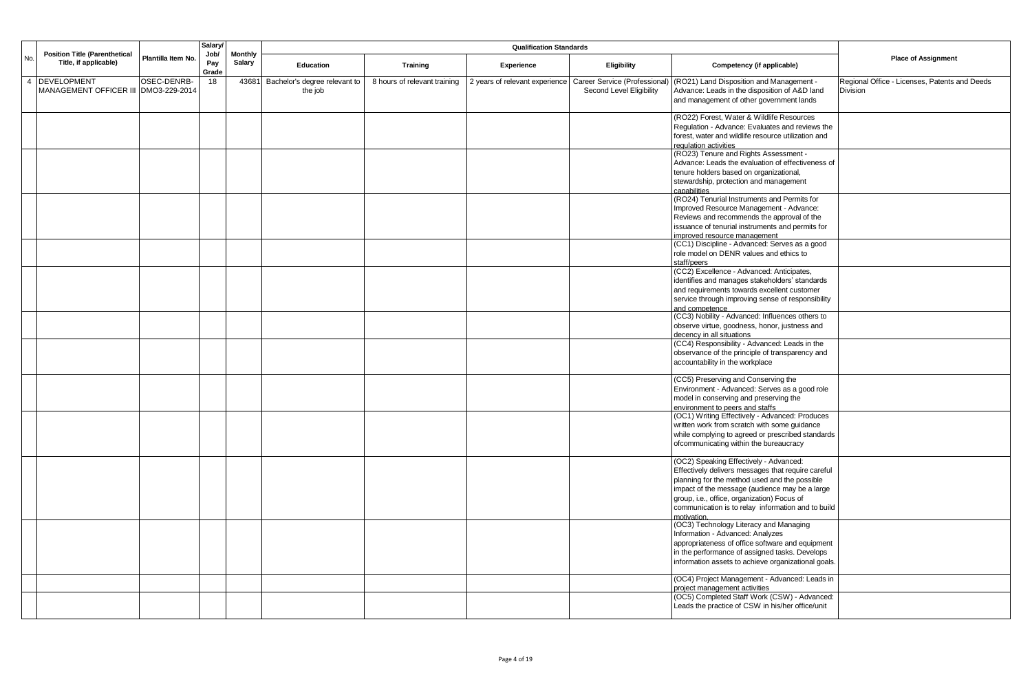|                |                                                               |                    | Salary/              |                                 | <b>Qualification Standards</b> |                              |                                |                               |                                                                                                     |                                               |
|----------------|---------------------------------------------------------------|--------------------|----------------------|---------------------------------|--------------------------------|------------------------------|--------------------------------|-------------------------------|-----------------------------------------------------------------------------------------------------|-----------------------------------------------|
| No.            | <b>Position Title (Parenthetical</b><br>Title, if applicable) | Plantilla Item No. | Job/<br>Pay<br>Grade | <b>Monthly</b><br><b>Salary</b> | Education                      | Training                     | Experience                     | <b>Eligibility</b>            | Competency (if applicable)                                                                          | <b>Place of Assignment</b>                    |
| $\overline{4}$ | <b>DEVELOPMENT</b>                                            | OSEC-DENRB-        | 18                   | 43681                           | Bachelor's degree relevant to  | 8 hours of relevant training | 2 years of relevant experience | Career Service (Professional) | (RO21) Land Disposition and Management -                                                            | Regional Office - Licenses, Patents and Deeds |
|                | <b>MANAGEMENT OFFICER III</b>                                 | DMO3-229-2014      |                      |                                 | the job                        |                              |                                | Second Level Eligibility      | Advance: Leads in the disposition of A&D land<br>and management of other government lands           | <b>Division</b>                               |
|                |                                                               |                    |                      |                                 |                                |                              |                                |                               | (RO22) Forest, Water & Wildlife Resources                                                           |                                               |
|                |                                                               |                    |                      |                                 |                                |                              |                                |                               | Regulation - Advance: Evaluates and reviews the                                                     |                                               |
|                |                                                               |                    |                      |                                 |                                |                              |                                |                               | forest, water and wildlife resource utilization and<br>regulation activities                        |                                               |
|                |                                                               |                    |                      |                                 |                                |                              |                                |                               | (RO23) Tenure and Rights Assessment -                                                               |                                               |
|                |                                                               |                    |                      |                                 |                                |                              |                                |                               | Advance: Leads the evaluation of effectiveness of                                                   |                                               |
|                |                                                               |                    |                      |                                 |                                |                              |                                |                               | tenure holders based on organizational,<br>stewardship, protection and management                   |                                               |
|                |                                                               |                    |                      |                                 |                                |                              |                                |                               | capabilities                                                                                        |                                               |
|                |                                                               |                    |                      |                                 |                                |                              |                                |                               | (RO24) Tenurial Instruments and Permits for                                                         |                                               |
|                |                                                               |                    |                      |                                 |                                |                              |                                |                               | Improved Resource Management - Advance:<br>Reviews and recommends the approval of the               |                                               |
|                |                                                               |                    |                      |                                 |                                |                              |                                |                               | issuance of tenurial instruments and permits for                                                    |                                               |
|                |                                                               |                    |                      |                                 |                                |                              |                                |                               | improved resource management                                                                        |                                               |
|                |                                                               |                    |                      |                                 |                                |                              |                                |                               | (CC1) Discipline - Advanced: Serves as a good<br>role model on DENR values and ethics to            |                                               |
|                |                                                               |                    |                      |                                 |                                |                              |                                |                               | staff/peers                                                                                         |                                               |
|                |                                                               |                    |                      |                                 |                                |                              |                                |                               | (CC2) Excellence - Advanced: Anticipates,                                                           |                                               |
|                |                                                               |                    |                      |                                 |                                |                              |                                |                               | identifies and manages stakeholders' standards<br>and requirements towards excellent customer       |                                               |
|                |                                                               |                    |                      |                                 |                                |                              |                                |                               | service through improving sense of responsibility                                                   |                                               |
|                |                                                               |                    |                      |                                 |                                |                              |                                |                               | and competence                                                                                      |                                               |
|                |                                                               |                    |                      |                                 |                                |                              |                                |                               | (CC3) Nobility - Advanced: Influences others to<br>observe virtue, goodness, honor, justness and    |                                               |
|                |                                                               |                    |                      |                                 |                                |                              |                                |                               | decency in all situations                                                                           |                                               |
|                |                                                               |                    |                      |                                 |                                |                              |                                |                               | (CC4) Responsibility - Advanced: Leads in the                                                       |                                               |
|                |                                                               |                    |                      |                                 |                                |                              |                                |                               | observance of the principle of transparency and<br>accountability in the workplace                  |                                               |
|                |                                                               |                    |                      |                                 |                                |                              |                                |                               |                                                                                                     |                                               |
|                |                                                               |                    |                      |                                 |                                |                              |                                |                               | (CC5) Preserving and Conserving the                                                                 |                                               |
|                |                                                               |                    |                      |                                 |                                |                              |                                |                               | Environment - Advanced: Serves as a good role<br>model in conserving and preserving the             |                                               |
|                |                                                               |                    |                      |                                 |                                |                              |                                |                               | environment to peers and staffs                                                                     |                                               |
|                |                                                               |                    |                      |                                 |                                |                              |                                |                               | (OC1) Writing Effectively - Advanced: Produces                                                      |                                               |
|                |                                                               |                    |                      |                                 |                                |                              |                                |                               | written work from scratch with some guidance<br>while complying to agreed or prescribed standards   |                                               |
|                |                                                               |                    |                      |                                 |                                |                              |                                |                               | ofcommunicating within the bureaucracy                                                              |                                               |
|                |                                                               |                    |                      |                                 |                                |                              |                                |                               | (OC2) Speaking Effectively - Advanced:                                                              |                                               |
|                |                                                               |                    |                      |                                 |                                |                              |                                |                               | Effectively delivers messages that require careful<br>planning for the method used and the possible |                                               |
|                |                                                               |                    |                      |                                 |                                |                              |                                |                               | impact of the message (audience may be a large                                                      |                                               |
|                |                                                               |                    |                      |                                 |                                |                              |                                |                               | group, i.e., office, organization) Focus of                                                         |                                               |
|                |                                                               |                    |                      |                                 |                                |                              |                                |                               | communication is to relay information and to build                                                  |                                               |
|                |                                                               |                    |                      |                                 |                                |                              |                                |                               | motivation.<br>(OC3) Technology Literacy and Managing                                               |                                               |
|                |                                                               |                    |                      |                                 |                                |                              |                                |                               | Information - Advanced: Analyzes                                                                    |                                               |
|                |                                                               |                    |                      |                                 |                                |                              |                                |                               | appropriateness of office software and equipment<br>in the performance of assigned tasks. Develops  |                                               |
|                |                                                               |                    |                      |                                 |                                |                              |                                |                               | information assets to achieve organizational goals.                                                 |                                               |
|                |                                                               |                    |                      |                                 |                                |                              |                                |                               | (OC4) Project Management - Advanced: Leads in<br>project management activities                      |                                               |
|                |                                                               |                    |                      |                                 |                                |                              |                                |                               | (OC5) Completed Staff Work (CSW) - Advanced:                                                        |                                               |
|                |                                                               |                    |                      |                                 |                                |                              |                                |                               | Leads the practice of CSW in his/her office/unit                                                    |                                               |
|                |                                                               |                    |                      |                                 |                                |                              |                                |                               |                                                                                                     |                                               |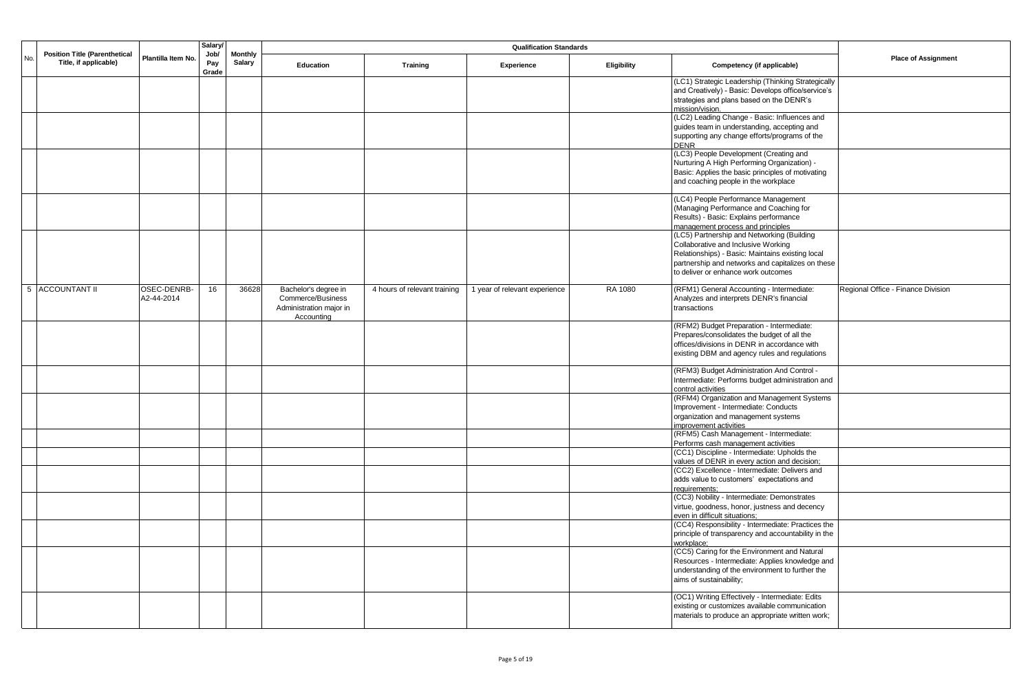|     |                                                               |                           | <b>Salary</b>        | <b>Qualification Standards</b><br><b>Monthly</b> |                                                                                    |                              |                               |             |                                                                                                                                                                                                                                   |                                    |
|-----|---------------------------------------------------------------|---------------------------|----------------------|--------------------------------------------------|------------------------------------------------------------------------------------|------------------------------|-------------------------------|-------------|-----------------------------------------------------------------------------------------------------------------------------------------------------------------------------------------------------------------------------------|------------------------------------|
| No. | <b>Position Title (Parenthetical</b><br>Title, if applicable) | Plantilla Item No.        | Job/<br>Pay<br>Grade | Salary                                           | <b>Education</b>                                                                   | <b>Training</b>              | Experience                    | Eligibility | Competency (if applicable)                                                                                                                                                                                                        | <b>Place of Assignment</b>         |
|     |                                                               |                           |                      |                                                  |                                                                                    |                              |                               |             | (LC1) Strategic Leadership (Thinking Strategically<br>and Creatively) - Basic: Develops office/service's<br>strategies and plans based on the DENR's<br>mission/vision.                                                           |                                    |
|     |                                                               |                           |                      |                                                  |                                                                                    |                              |                               |             | (LC2) Leading Change - Basic: Influences and<br>guides team in understanding, accepting and<br>supporting any change efforts/programs of the<br><b>DENR</b>                                                                       |                                    |
|     |                                                               |                           |                      |                                                  |                                                                                    |                              |                               |             | (LC3) People Development (Creating and<br>Nurturing A High Performing Organization) -<br>Basic: Applies the basic principles of motivating<br>and coaching people in the workplace                                                |                                    |
|     |                                                               |                           |                      |                                                  |                                                                                    |                              |                               |             | (LC4) People Performance Management<br>(Managing Performance and Coaching for<br>Results) - Basic: Explains performance<br>management process and principles                                                                      |                                    |
|     |                                                               |                           |                      |                                                  |                                                                                    |                              |                               |             | (LC5) Partnership and Networking (Building<br>Collaborative and Inclusive Working<br>Relationships) - Basic: Maintains existing local<br>partnership and networks and capitalizes on these<br>to deliver or enhance work outcomes |                                    |
|     | 5 ACCOUNTANT II                                               | OSEC-DENRB-<br>A2-44-2014 | 16                   | 36628                                            | Bachelor's degree in<br>Commerce/Business<br>Administration major in<br>Accounting | 4 hours of relevant training | 1 year of relevant experience | RA 1080     | (RFM1) General Accounting - Intermediate:<br>Analyzes and interprets DENR's financial<br>transactions                                                                                                                             | Regional Office - Finance Division |
|     |                                                               |                           |                      |                                                  |                                                                                    |                              |                               |             | (RFM2) Budget Preparation - Intermediate:<br>Prepares/consolidates the budget of all the<br>offices/divisions in DENR in accordance with<br>existing DBM and agency rules and regulations                                         |                                    |
|     |                                                               |                           |                      |                                                  |                                                                                    |                              |                               |             | (RFM3) Budget Administration And Control -<br>Intermediate: Performs budget administration and<br>control activities                                                                                                              |                                    |
|     |                                                               |                           |                      |                                                  |                                                                                    |                              |                               |             | (RFM4) Organization and Management Systems<br>Improvement - Intermediate: Conducts<br>organization and management systems<br>improvement activities                                                                               |                                    |
|     |                                                               |                           |                      |                                                  |                                                                                    |                              |                               |             | (RFM5) Cash Management - Intermediate:<br>Performs cash management activities<br>(CC1) Discipline - Intermediate: Upholds the                                                                                                     |                                    |
|     |                                                               |                           |                      |                                                  |                                                                                    |                              |                               |             | values of DENR in every action and decision;<br>(CC2) Excellence - Intermediate: Delivers and<br>adds value to customers' expectations and<br>requirements;                                                                       |                                    |
|     |                                                               |                           |                      |                                                  |                                                                                    |                              |                               |             | (CC3) Nobility - Intermediate: Demonstrates<br>virtue, goodness, honor, justness and decency<br>even in difficult situations;                                                                                                     |                                    |
|     |                                                               |                           |                      |                                                  |                                                                                    |                              |                               |             | (CC4) Responsibility - Intermediate: Practices the<br>principle of transparency and accountability in the<br>workplace;                                                                                                           |                                    |
|     |                                                               |                           |                      |                                                  |                                                                                    |                              |                               |             | (CC5) Caring for the Environment and Natural<br>Resources - Intermediate: Applies knowledge and<br>understanding of the environment to further the<br>aims of sustainability;                                                     |                                    |
|     |                                                               |                           |                      |                                                  |                                                                                    |                              |                               |             | (OC1) Writing Effectively - Intermediate: Edits<br>existing or customizes available communication<br>materials to produce an appropriate written work;                                                                            |                                    |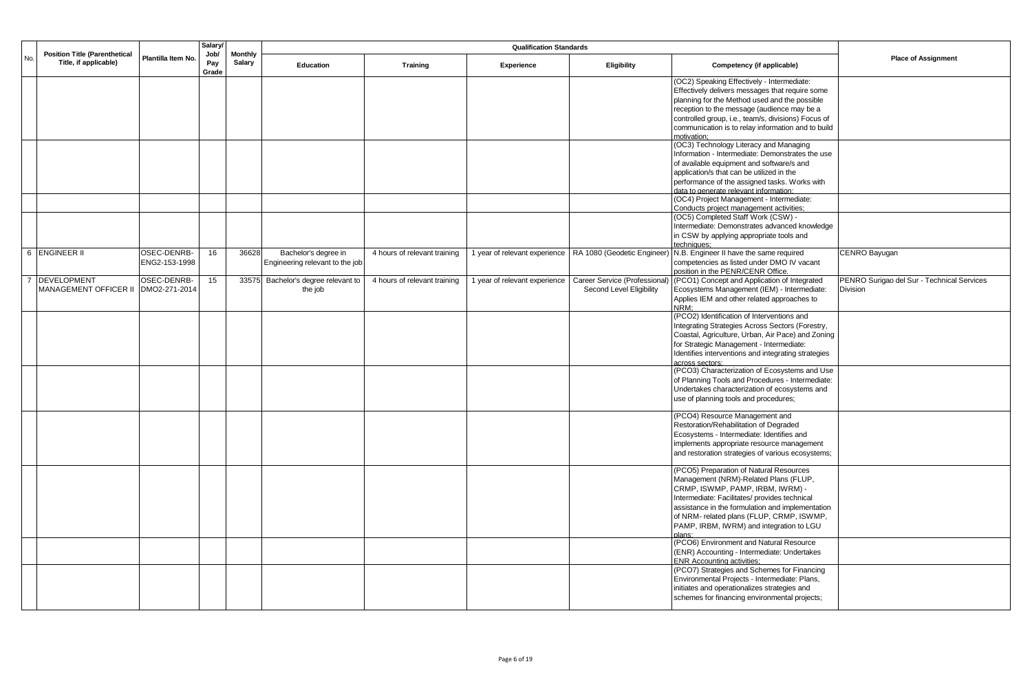|     |                                                               |                    | <b>Salary</b>        |                                 |                                 |                              |                               |                               |                                                                                         |                                            |
|-----|---------------------------------------------------------------|--------------------|----------------------|---------------------------------|---------------------------------|------------------------------|-------------------------------|-------------------------------|-----------------------------------------------------------------------------------------|--------------------------------------------|
| No. | <b>Position Title (Parenthetical</b><br>Title, if applicable) | Plantilla Item No. | Job/<br>Pay<br>Grade | <b>Monthly</b><br><b>Salary</b> | <b>Education</b>                | <b>Training</b>              | Experience                    | Eligibility                   | Competency (if applicable)                                                              | <b>Place of Assignment</b>                 |
|     |                                                               |                    |                      |                                 |                                 |                              |                               |                               | (OC2) Speaking Effectively - Intermediate:                                              |                                            |
|     |                                                               |                    |                      |                                 |                                 |                              |                               |                               | Effectively delivers messages that require some                                         |                                            |
|     |                                                               |                    |                      |                                 |                                 |                              |                               |                               | planning for the Method used and the possible                                           |                                            |
|     |                                                               |                    |                      |                                 |                                 |                              |                               |                               | reception to the message (audience may be a                                             |                                            |
|     |                                                               |                    |                      |                                 |                                 |                              |                               |                               | controlled group, i.e., team/s, divisions) Focus of                                     |                                            |
|     |                                                               |                    |                      |                                 |                                 |                              |                               |                               | communication is to relay information and to build                                      |                                            |
|     |                                                               |                    |                      |                                 |                                 |                              |                               |                               | motivation:                                                                             |                                            |
|     |                                                               |                    |                      |                                 |                                 |                              |                               |                               | (OC3) Technology Literacy and Managing                                                  |                                            |
|     |                                                               |                    |                      |                                 |                                 |                              |                               |                               | Information - Intermediate: Demonstrates the use                                        |                                            |
|     |                                                               |                    |                      |                                 |                                 |                              |                               |                               | of available equipment and software/s and                                               |                                            |
|     |                                                               |                    |                      |                                 |                                 |                              |                               |                               | application/s that can be utilized in the                                               |                                            |
|     |                                                               |                    |                      |                                 |                                 |                              |                               |                               | performance of the assigned tasks. Works with<br>data to generate relevant information: |                                            |
|     |                                                               |                    |                      |                                 |                                 |                              |                               |                               | (OC4) Project Management - Intermediate:                                                |                                            |
|     |                                                               |                    |                      |                                 |                                 |                              |                               |                               | Conducts project management activities;                                                 |                                            |
|     |                                                               |                    |                      |                                 |                                 |                              |                               |                               | (OC5) Completed Staff Work (CSW) -                                                      |                                            |
|     |                                                               |                    |                      |                                 |                                 |                              |                               |                               | Intermediate: Demonstrates advanced knowledge                                           |                                            |
|     |                                                               |                    |                      |                                 |                                 |                              |                               |                               | in CSW by applying appropriate tools and                                                |                                            |
|     |                                                               |                    |                      |                                 |                                 |                              |                               |                               | techniques:                                                                             |                                            |
|     | 6 ENGINEER II                                                 | OSEC-DENRB-        | 16                   | 36628                           | Bachelor's degree in            | 4 hours of relevant training | 1 year of relevant experience |                               | RA 1080 (Geodetic Engineer) N.B. Engineer II have the same required                     | CENRO Bayugan                              |
|     |                                                               | ENG2-153-1998      |                      |                                 | Engineering relevant to the job |                              |                               |                               | competencies as listed under DMO IV vacant                                              |                                            |
|     |                                                               |                    |                      |                                 |                                 |                              |                               |                               | position in the PENR/CENR Office.                                                       |                                            |
|     | <b>DEVELOPMENT</b>                                            | OSEC-DENRB-        | 15                   | 33575                           | Bachelor's degree relevant to   | 4 hours of relevant training | 1 year of relevant experience | Career Service (Professional) | (PCO1) Concept and Application of Integrated                                            | PENRO Surigao del Sur - Technical Services |
|     | MANAGEMENT OFFICER II                                         | DMO2-271-2014      |                      |                                 | the job                         |                              |                               | Second Level Eligibility      | Ecosystems Management (IEM) - Intermediate:                                             | Division                                   |
|     |                                                               |                    |                      |                                 |                                 |                              |                               |                               | Applies IEM and other related approaches to<br>NRM:                                     |                                            |
|     |                                                               |                    |                      |                                 |                                 |                              |                               |                               | (PCO2) Identification of Interventions and                                              |                                            |
|     |                                                               |                    |                      |                                 |                                 |                              |                               |                               | Integrating Strategies Across Sectors (Forestry,                                        |                                            |
|     |                                                               |                    |                      |                                 |                                 |                              |                               |                               | Coastal, Agriculture, Urban, Air Pace) and Zoning                                       |                                            |
|     |                                                               |                    |                      |                                 |                                 |                              |                               |                               | for Strategic Management - Intermediate:                                                |                                            |
|     |                                                               |                    |                      |                                 |                                 |                              |                               |                               | Identifies interventions and integrating strategies                                     |                                            |
|     |                                                               |                    |                      |                                 |                                 |                              |                               |                               | across sectors:                                                                         |                                            |
|     |                                                               |                    |                      |                                 |                                 |                              |                               |                               | (PCO3) Characterization of Ecosystems and Use                                           |                                            |
|     |                                                               |                    |                      |                                 |                                 |                              |                               |                               | of Planning Tools and Procedures - Intermediate:                                        |                                            |
|     |                                                               |                    |                      |                                 |                                 |                              |                               |                               | Undertakes characterization of ecosystems and                                           |                                            |
|     |                                                               |                    |                      |                                 |                                 |                              |                               |                               | use of planning tools and procedures;                                                   |                                            |
|     |                                                               |                    |                      |                                 |                                 |                              |                               |                               | (PCO4) Resource Management and                                                          |                                            |
|     |                                                               |                    |                      |                                 |                                 |                              |                               |                               | Restoration/Rehabilitation of Degraded                                                  |                                            |
|     |                                                               |                    |                      |                                 |                                 |                              |                               |                               | Ecosystems - Intermediate: Identifies and                                               |                                            |
|     |                                                               |                    |                      |                                 |                                 |                              |                               |                               | implements appropriate resource management                                              |                                            |
|     |                                                               |                    |                      |                                 |                                 |                              |                               |                               | and restoration strategies of various ecosystems;                                       |                                            |
|     |                                                               |                    |                      |                                 |                                 |                              |                               |                               |                                                                                         |                                            |
|     |                                                               |                    |                      |                                 |                                 |                              |                               |                               | (PCO5) Preparation of Natural Resources<br>Management (NRM)-Related Plans (FLUP,        |                                            |
|     |                                                               |                    |                      |                                 |                                 |                              |                               |                               | CRMP, ISWMP, PAMP, IRBM, IWRM) -                                                        |                                            |
|     |                                                               |                    |                      |                                 |                                 |                              |                               |                               | Intermediate: Facilitates/ provides technical                                           |                                            |
|     |                                                               |                    |                      |                                 |                                 |                              |                               |                               | assistance in the formulation and implementation                                        |                                            |
|     |                                                               |                    |                      |                                 |                                 |                              |                               |                               | of NRM- related plans (FLUP, CRMP, ISWMP,                                               |                                            |
|     |                                                               |                    |                      |                                 |                                 |                              |                               |                               | PAMP, IRBM, IWRM) and integration to LGU                                                |                                            |
|     |                                                               |                    |                      |                                 |                                 |                              |                               |                               | nlans <sup>.</sup>                                                                      |                                            |
|     |                                                               |                    |                      |                                 |                                 |                              |                               |                               | (PCO6) Environment and Natural Resource                                                 |                                            |
|     |                                                               |                    |                      |                                 |                                 |                              |                               |                               | (ENR) Accounting - Intermediate: Undertakes<br><b>ENR Accounting activities:</b>        |                                            |
|     |                                                               |                    |                      |                                 |                                 |                              |                               |                               | (PCO7) Strategies and Schemes for Financing                                             |                                            |
|     |                                                               |                    |                      |                                 |                                 |                              |                               |                               | Environmental Projects - Intermediate: Plans,                                           |                                            |
|     |                                                               |                    |                      |                                 |                                 |                              |                               |                               | initiates and operationalizes strategies and                                            |                                            |
|     |                                                               |                    |                      |                                 |                                 |                              |                               |                               | schemes for financing environmental projects;                                           |                                            |
|     |                                                               |                    |                      |                                 |                                 |                              |                               |                               |                                                                                         |                                            |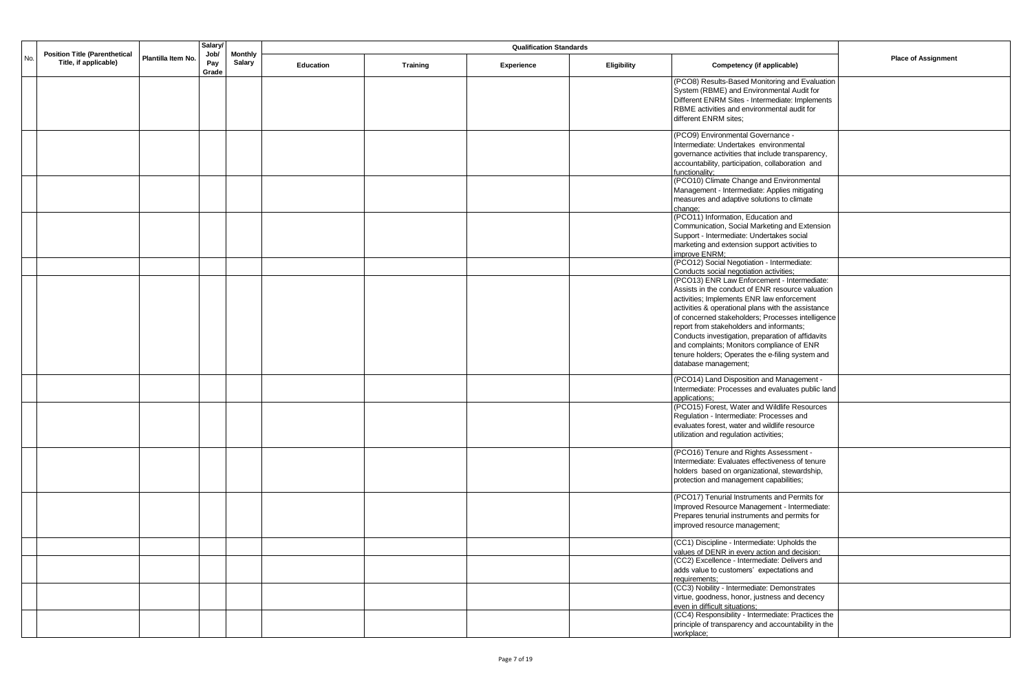|     |                                                               |                    | <b>Salary</b>        |               | <b>Qualification Standards</b><br><b>Monthly</b> |                 |            |             |                                                                                                                                                                                                                                                                                                                                                                                                                                                                                                                                  |                            |
|-----|---------------------------------------------------------------|--------------------|----------------------|---------------|--------------------------------------------------|-----------------|------------|-------------|----------------------------------------------------------------------------------------------------------------------------------------------------------------------------------------------------------------------------------------------------------------------------------------------------------------------------------------------------------------------------------------------------------------------------------------------------------------------------------------------------------------------------------|----------------------------|
| No. | <b>Position Title (Parenthetical</b><br>Title, if applicable) | Plantilla Item No. | Job/<br>Pay<br>Grade | <b>Salary</b> | Education                                        | <b>Training</b> | Experience | Eligibility | Competency (if applicable)                                                                                                                                                                                                                                                                                                                                                                                                                                                                                                       | <b>Place of Assignment</b> |
|     |                                                               |                    |                      |               |                                                  |                 |            |             | (PCO8) Results-Based Monitoring and Evaluation<br>System (RBME) and Environmental Audit for<br>Different ENRM Sites - Intermediate: Implements<br>RBME activities and environmental audit for<br>different ENRM sites;                                                                                                                                                                                                                                                                                                           |                            |
|     |                                                               |                    |                      |               |                                                  |                 |            |             | (PCO9) Environmental Governance -<br>Intermediate: Undertakes environmental<br>governance activities that include transparency,<br>accountability, participation, collaboration and<br>functionality:                                                                                                                                                                                                                                                                                                                            |                            |
|     |                                                               |                    |                      |               |                                                  |                 |            |             | (PCO10) Climate Change and Environmental<br>Management - Intermediate: Applies mitigating<br>measures and adaptive solutions to climate<br>change;                                                                                                                                                                                                                                                                                                                                                                               |                            |
|     |                                                               |                    |                      |               |                                                  |                 |            |             | (PCO11) Information, Education and<br>Communication, Social Marketing and Extension<br>Support - Intermediate: Undertakes social<br>marketing and extension support activities to<br>improve ENRM:                                                                                                                                                                                                                                                                                                                               |                            |
|     |                                                               |                    |                      |               |                                                  |                 |            |             | (PCO12) Social Negotiation - Intermediate:<br>Conducts social negotiation activities;                                                                                                                                                                                                                                                                                                                                                                                                                                            |                            |
|     |                                                               |                    |                      |               |                                                  |                 |            |             | (PCO13) ENR Law Enforcement - Intermediate:<br>Assists in the conduct of ENR resource valuation<br>activities; Implements ENR law enforcement<br>activities & operational plans with the assistance<br>of concerned stakeholders; Processes intelligence<br>report from stakeholders and informants;<br>Conducts investigation, preparation of affidavits<br>and complaints; Monitors compliance of ENR<br>tenure holders; Operates the e-filing system and<br>database management;<br>(PCO14) Land Disposition and Management - |                            |
|     |                                                               |                    |                      |               |                                                  |                 |            |             | Intermediate: Processes and evaluates public land<br>applications;<br>(PCO15) Forest, Water and Wildlife Resources<br>Regulation - Intermediate: Processes and<br>evaluates forest, water and wildlife resource<br>utilization and regulation activities;                                                                                                                                                                                                                                                                        |                            |
|     |                                                               |                    |                      |               |                                                  |                 |            |             | (PCO16) Tenure and Rights Assessment -<br>Intermediate: Evaluates effectiveness of tenure<br>holders based on organizational, stewardship,<br>protection and management capabilities;                                                                                                                                                                                                                                                                                                                                            |                            |
|     |                                                               |                    |                      |               |                                                  |                 |            |             | (PCO17) Tenurial Instruments and Permits for<br>Improved Resource Management - Intermediate:<br>Prepares tenurial instruments and permits for<br>improved resource management;                                                                                                                                                                                                                                                                                                                                                   |                            |
|     |                                                               |                    |                      |               |                                                  |                 |            |             | (CC1) Discipline - Intermediate: Upholds the<br>values of DENR in every action and decision;                                                                                                                                                                                                                                                                                                                                                                                                                                     |                            |
|     |                                                               |                    |                      |               |                                                  |                 |            |             | (CC2) Excellence - Intermediate: Delivers and<br>adds value to customers' expectations and<br>requirements:                                                                                                                                                                                                                                                                                                                                                                                                                      |                            |
|     |                                                               |                    |                      |               |                                                  |                 |            |             | (CC3) Nobility - Intermediate: Demonstrates<br>virtue, goodness, honor, justness and decency<br>even in difficult situations;                                                                                                                                                                                                                                                                                                                                                                                                    |                            |
|     |                                                               |                    |                      |               |                                                  |                 |            |             | (CC4) Responsibility - Intermediate: Practices the<br>principle of transparency and accountability in the<br>workplace;                                                                                                                                                                                                                                                                                                                                                                                                          |                            |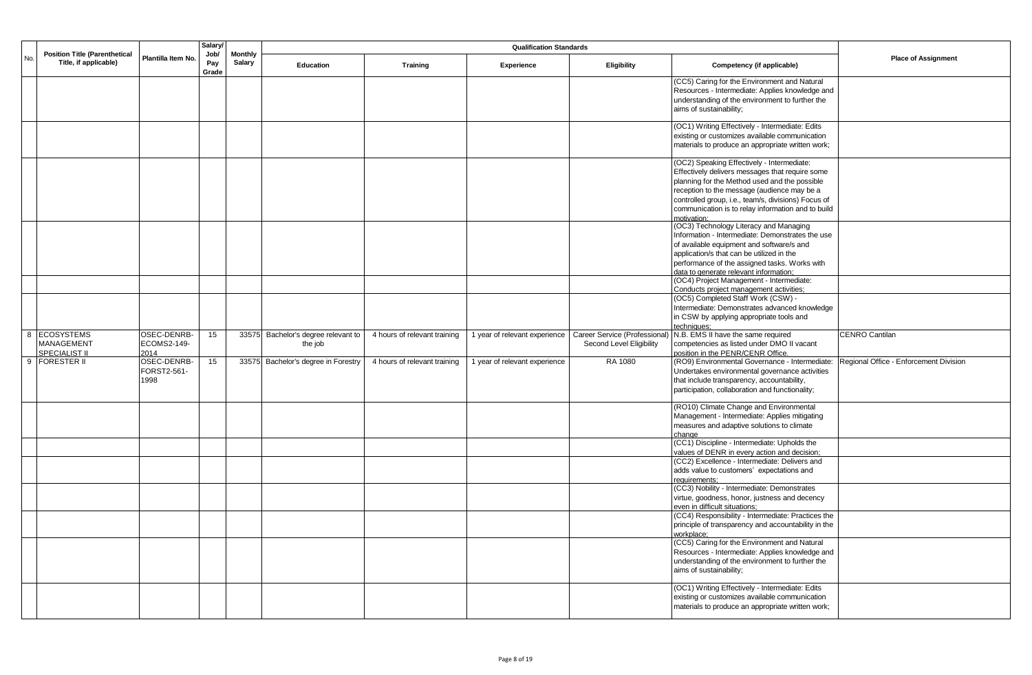|     |                                                                                     |                      | <b>Salary</b>            |           | <b>Qualification Standards</b>      |                              |                               |                               |                                                                                                     |                                        |
|-----|-------------------------------------------------------------------------------------|----------------------|--------------------------|-----------|-------------------------------------|------------------------------|-------------------------------|-------------------------------|-----------------------------------------------------------------------------------------------------|----------------------------------------|
| No. | <b>Position Title (Parenthetical</b><br>Plantilla Item No.<br>Title, if applicable) | Job/<br>Pay<br>Grade | <b>Monthly</b><br>Salary | Education | <b>Training</b>                     | Experience                   | Eligibility                   | Competency (if applicable)    | <b>Place of Assignment</b>                                                                          |                                        |
|     |                                                                                     |                      |                          |           |                                     |                              |                               |                               | (CC5) Caring for the Environment and Natural<br>Resources - Intermediate: Applies knowledge and     |                                        |
|     |                                                                                     |                      |                          |           |                                     |                              |                               |                               | understanding of the environment to further the                                                     |                                        |
|     |                                                                                     |                      |                          |           |                                     |                              |                               |                               | aims of sustainability;                                                                             |                                        |
|     |                                                                                     |                      |                          |           |                                     |                              |                               |                               | (OC1) Writing Effectively - Intermediate: Edits                                                     |                                        |
|     |                                                                                     |                      |                          |           |                                     |                              |                               |                               | existing or customizes available communication<br>materials to produce an appropriate written work; |                                        |
|     |                                                                                     |                      |                          |           |                                     |                              |                               |                               |                                                                                                     |                                        |
|     |                                                                                     |                      |                          |           |                                     |                              |                               |                               | (OC2) Speaking Effectively - Intermediate:                                                          |                                        |
|     |                                                                                     |                      |                          |           |                                     |                              |                               |                               | Effectively delivers messages that require some                                                     |                                        |
|     |                                                                                     |                      |                          |           |                                     |                              |                               |                               | planning for the Method used and the possible<br>reception to the message (audience may be a        |                                        |
|     |                                                                                     |                      |                          |           |                                     |                              |                               |                               | controlled group, i.e., team/s, divisions) Focus of                                                 |                                        |
|     |                                                                                     |                      |                          |           |                                     |                              |                               |                               | communication is to relay information and to build                                                  |                                        |
|     |                                                                                     |                      |                          |           |                                     |                              |                               |                               | motivation:                                                                                         |                                        |
|     |                                                                                     |                      |                          |           |                                     |                              |                               |                               | (OC3) Technology Literacy and Managing<br>Information - Intermediate: Demonstrates the use          |                                        |
|     |                                                                                     |                      |                          |           |                                     |                              |                               |                               | of available equipment and software/s and                                                           |                                        |
|     |                                                                                     |                      |                          |           |                                     |                              |                               |                               | application/s that can be utilized in the                                                           |                                        |
|     |                                                                                     |                      |                          |           |                                     |                              |                               |                               | performance of the assigned tasks. Works with                                                       |                                        |
|     |                                                                                     |                      |                          |           |                                     |                              |                               |                               | data to generate relevant information:<br>(OC4) Project Management - Intermediate:                  |                                        |
|     |                                                                                     |                      |                          |           |                                     |                              |                               |                               | Conducts project management activities;                                                             |                                        |
|     |                                                                                     |                      |                          |           |                                     |                              |                               |                               | (OC5) Completed Staff Work (CSW) -                                                                  |                                        |
|     |                                                                                     |                      |                          |           |                                     |                              |                               |                               | Intermediate: Demonstrates advanced knowledge                                                       |                                        |
|     |                                                                                     |                      |                          |           |                                     |                              |                               |                               | in CSW by applying appropriate tools and<br>techniques;                                             |                                        |
|     | 8 ECOSYSTEMS                                                                        | OSEC-DENRB-          | 15                       |           | 33575 Bachelor's degree relevant to | 4 hours of relevant training | 1 year of relevant experience | Career Service (Professional) | N.B. EMS II have the same required                                                                  | <b>CENRO Cantilan</b>                  |
|     | <b>MANAGEMENT</b>                                                                   | ECOMS2-149-          |                          |           | the job                             |                              |                               | Second Level Eligibility      | competencies as listed under DMO II vacant                                                          |                                        |
| 9   | SPECIALIST II<br><b>FORESTER II</b>                                                 | 2014<br>OSEC-DENRB-  | 15                       |           | 33575 Bachelor's degree in Forestry | 4 hours of relevant training | 1 year of relevant experience | RA 1080                       | position in the PENR/CENR Office.<br>(RO9) Environmental Governance - Intermediate:                 | Regional Office - Enforcement Division |
|     |                                                                                     | FORST2-561-          |                          |           |                                     |                              |                               |                               | Undertakes environmental governance activities                                                      |                                        |
|     |                                                                                     | 1998                 |                          |           |                                     |                              |                               |                               | that include transparency, accountability,                                                          |                                        |
|     |                                                                                     |                      |                          |           |                                     |                              |                               |                               | participation, collaboration and functionality;                                                     |                                        |
|     |                                                                                     |                      |                          |           |                                     |                              |                               |                               | (RO10) Climate Change and Environmental                                                             |                                        |
|     |                                                                                     |                      |                          |           |                                     |                              |                               |                               | Management - Intermediate: Applies mitigating                                                       |                                        |
|     |                                                                                     |                      |                          |           |                                     |                              |                               |                               | measures and adaptive solutions to climate<br>change                                                |                                        |
|     |                                                                                     |                      |                          |           |                                     |                              |                               |                               | (CC1) Discipline - Intermediate: Upholds the                                                        |                                        |
|     |                                                                                     |                      |                          |           |                                     |                              |                               |                               | values of DENR in every action and decision;                                                        |                                        |
|     |                                                                                     |                      |                          |           |                                     |                              |                               |                               | (CC2) Excellence - Intermediate: Delivers and<br>adds value to customers' expectations and          |                                        |
|     |                                                                                     |                      |                          |           |                                     |                              |                               |                               | requirements;                                                                                       |                                        |
|     |                                                                                     |                      |                          |           |                                     |                              |                               |                               | (CC3) Nobility - Intermediate: Demonstrates                                                         |                                        |
|     |                                                                                     |                      |                          |           |                                     |                              |                               |                               | virtue, goodness, honor, justness and decency                                                       |                                        |
|     |                                                                                     |                      |                          |           |                                     |                              |                               |                               | even in difficult situations;<br>(CC4) Responsibility - Intermediate: Practices the                 |                                        |
|     |                                                                                     |                      |                          |           |                                     |                              |                               |                               | principle of transparency and accountability in the                                                 |                                        |
|     |                                                                                     |                      |                          |           |                                     |                              |                               |                               | workplace <sup>.</sup>                                                                              |                                        |
|     |                                                                                     |                      |                          |           |                                     |                              |                               |                               | (CC5) Caring for the Environment and Natural                                                        |                                        |
|     |                                                                                     |                      |                          |           |                                     |                              |                               |                               | Resources - Intermediate: Applies knowledge and                                                     |                                        |
|     |                                                                                     |                      |                          |           |                                     |                              |                               |                               | understanding of the environment to further the<br>aims of sustainability;                          |                                        |
|     |                                                                                     |                      |                          |           |                                     |                              |                               |                               |                                                                                                     |                                        |
|     |                                                                                     |                      |                          |           |                                     |                              |                               |                               | (OC1) Writing Effectively - Intermediate: Edits                                                     |                                        |
|     |                                                                                     |                      |                          |           |                                     |                              |                               |                               | existing or customizes available communication                                                      |                                        |
|     |                                                                                     |                      |                          |           |                                     |                              |                               |                               | materials to produce an appropriate written work;                                                   |                                        |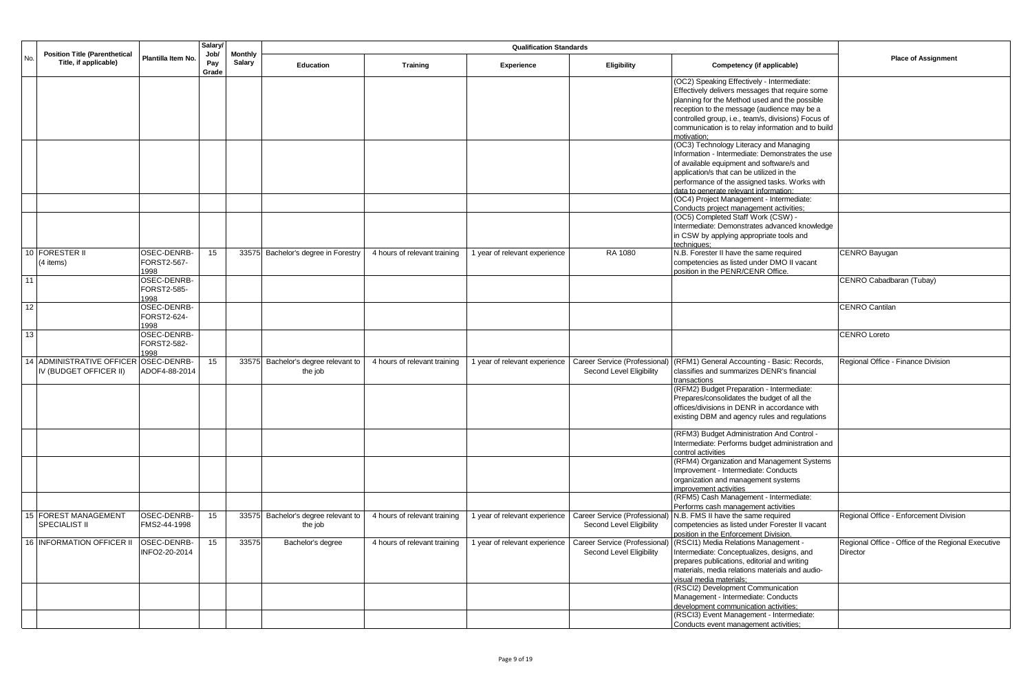|     |                                                               |                     | Salary/              |                          |                                     |                              |                               |                               |                                                                   |                                                    |
|-----|---------------------------------------------------------------|---------------------|----------------------|--------------------------|-------------------------------------|------------------------------|-------------------------------|-------------------------------|-------------------------------------------------------------------|----------------------------------------------------|
| No. | <b>Position Title (Parenthetical</b><br>Title, if applicable) | Plantilla Item No.  | Job/<br>Pay<br>Grade | <b>Monthly</b><br>Salary | <b>Education</b>                    | <b>Training</b>              | Experience                    | Eligibility                   | Competency (if applicable)                                        | <b>Place of Assignment</b>                         |
|     |                                                               |                     |                      |                          |                                     |                              |                               |                               | (OC2) Speaking Effectively - Intermediate:                        |                                                    |
|     |                                                               |                     |                      |                          |                                     |                              |                               |                               | Effectively delivers messages that require some                   |                                                    |
|     |                                                               |                     |                      |                          |                                     |                              |                               |                               | planning for the Method used and the possible                     |                                                    |
|     |                                                               |                     |                      |                          |                                     |                              |                               |                               | reception to the message (audience may be a                       |                                                    |
|     |                                                               |                     |                      |                          |                                     |                              |                               |                               | controlled group, i.e., team/s, divisions) Focus of               |                                                    |
|     |                                                               |                     |                      |                          |                                     |                              |                               |                               | communication is to relay information and to build<br>motivation: |                                                    |
|     |                                                               |                     |                      |                          |                                     |                              |                               |                               | (OC3) Technology Literacy and Managing                            |                                                    |
|     |                                                               |                     |                      |                          |                                     |                              |                               |                               | Information - Intermediate: Demonstrates the use                  |                                                    |
|     |                                                               |                     |                      |                          |                                     |                              |                               |                               | of available equipment and software/s and                         |                                                    |
|     |                                                               |                     |                      |                          |                                     |                              |                               |                               | application/s that can be utilized in the                         |                                                    |
|     |                                                               |                     |                      |                          |                                     |                              |                               |                               | performance of the assigned tasks. Works with                     |                                                    |
|     |                                                               |                     |                      |                          |                                     |                              |                               |                               | data to generate relevant information:                            |                                                    |
|     |                                                               |                     |                      |                          |                                     |                              |                               |                               | (OC4) Project Management - Intermediate:                          |                                                    |
|     |                                                               |                     |                      |                          |                                     |                              |                               |                               | Conducts project management activities;                           |                                                    |
|     |                                                               |                     |                      |                          |                                     |                              |                               |                               | (OC5) Completed Staff Work (CSW) -                                |                                                    |
|     |                                                               |                     |                      |                          |                                     |                              |                               |                               | Intermediate: Demonstrates advanced knowledge                     |                                                    |
|     |                                                               |                     |                      |                          |                                     |                              |                               |                               | in CSW by applying appropriate tools and                          |                                                    |
|     |                                                               |                     |                      |                          |                                     |                              |                               |                               | techniques:                                                       |                                                    |
|     | 10 FORESTER II                                                | OSEC-DENRB-         | 15                   |                          | 33575 Bachelor's degree in Forestry | 4 hours of relevant training | 1 year of relevant experience | RA 1080                       | N.B. Forester II have the same required                           | CENRO Bayugan                                      |
|     | (4 items)                                                     | FORST2-567-         |                      |                          |                                     |                              |                               |                               | competencies as listed under DMO II vacant                        |                                                    |
|     |                                                               | 1998                |                      |                          |                                     |                              |                               |                               | position in the PENR/CENR Office.                                 |                                                    |
| 11  |                                                               | OSEC-DENRB-         |                      |                          |                                     |                              |                               |                               |                                                                   | CENRO Cabadbaran (Tubay)                           |
|     |                                                               | FORST2-585-         |                      |                          |                                     |                              |                               |                               |                                                                   |                                                    |
|     |                                                               | 1998                |                      |                          |                                     |                              |                               |                               |                                                                   |                                                    |
| 12  |                                                               | OSEC-DENRB-         |                      |                          |                                     |                              |                               |                               |                                                                   | <b>CENRO Cantilan</b>                              |
|     |                                                               | FORST2-624-         |                      |                          |                                     |                              |                               |                               |                                                                   |                                                    |
|     |                                                               | 1998                |                      |                          |                                     |                              |                               |                               |                                                                   |                                                    |
| 13  |                                                               | OSEC-DENRB-         |                      |                          |                                     |                              |                               |                               |                                                                   | <b>CENRO Loreto</b>                                |
|     |                                                               | FORST2-582-<br>1998 |                      |                          |                                     |                              |                               |                               |                                                                   |                                                    |
|     | <b>14 ADMINISTRATIVE OFFICER</b>                              | OSEC-DENRB-         | 15                   | 33575                    | Bachelor's degree relevant to       | 4 hours of relevant training | 1 year of relevant experience | Career Service (Professional  | (RFM1) General Accounting - Basic: Records,                       | Regional Office - Finance Division                 |
|     | IV (BUDGET OFFICER II)                                        | ADOF4-88-2014       |                      |                          | the job                             |                              |                               | Second Level Eligibility      | classifies and summarizes DENR's financial                        |                                                    |
|     |                                                               |                     |                      |                          |                                     |                              |                               |                               | transactions                                                      |                                                    |
|     |                                                               |                     |                      |                          |                                     |                              |                               |                               | (RFM2) Budget Preparation - Intermediate:                         |                                                    |
|     |                                                               |                     |                      |                          |                                     |                              |                               |                               | Prepares/consolidates the budget of all the                       |                                                    |
|     |                                                               |                     |                      |                          |                                     |                              |                               |                               | offices/divisions in DENR in accordance with                      |                                                    |
|     |                                                               |                     |                      |                          |                                     |                              |                               |                               | existing DBM and agency rules and regulations                     |                                                    |
|     |                                                               |                     |                      |                          |                                     |                              |                               |                               |                                                                   |                                                    |
|     |                                                               |                     |                      |                          |                                     |                              |                               |                               | (RFM3) Budget Administration And Control -                        |                                                    |
|     |                                                               |                     |                      |                          |                                     |                              |                               |                               | Intermediate: Performs budget administration and                  |                                                    |
|     |                                                               |                     |                      |                          |                                     |                              |                               |                               | control activities                                                |                                                    |
|     |                                                               |                     |                      |                          |                                     |                              |                               |                               | (RFM4) Organization and Management Systems                        |                                                    |
|     |                                                               |                     |                      |                          |                                     |                              |                               |                               | Improvement - Intermediate: Conducts                              |                                                    |
|     |                                                               |                     |                      |                          |                                     |                              |                               |                               | organization and management systems                               |                                                    |
|     |                                                               |                     |                      |                          |                                     |                              |                               |                               | mprovement activities<br>(RFM5) Cash Management - Intermediate:   |                                                    |
|     |                                                               |                     |                      |                          |                                     |                              |                               |                               | Performs cash management activities                               |                                                    |
|     | 15 FOREST MANAGEMENT                                          | OSEC-DENRB-         | 15                   |                          | 33575 Bachelor's degree relevant to | 4 hours of relevant training | 1 year of relevant experience | Career Service (Professional) | N.B. FMS II have the same required                                | Regional Office - Enforcement Division             |
|     | SPECIALIST II                                                 | FMS2-44-1998        |                      |                          | the job                             |                              |                               | Second Level Eligibility      | competencies as listed under Forester II vacant                   |                                                    |
|     |                                                               |                     |                      |                          |                                     |                              |                               |                               | position in the Enforcement Division.                             |                                                    |
|     | 16 INFORMATION OFFICER II                                     | OSEC-DENRB-         | 15                   | 33575                    | Bachelor's degree                   | 4 hours of relevant training | 1 year of relevant experience | Career Service (Professional) | (RSCI1) Media Relations Management -                              | Regional Office - Office of the Regional Executive |
|     |                                                               | INFO2-20-2014       |                      |                          |                                     |                              |                               | Second Level Eligibility      | Intermediate: Conceptualizes, designs, and                        | Director                                           |
|     |                                                               |                     |                      |                          |                                     |                              |                               |                               | prepares publications, editorial and writing                      |                                                    |
|     |                                                               |                     |                      |                          |                                     |                              |                               |                               | materials, media relations materials and audio-                   |                                                    |
|     |                                                               |                     |                      |                          |                                     |                              |                               |                               | visual media materials;                                           |                                                    |
|     |                                                               |                     |                      |                          |                                     |                              |                               |                               | (RSCl2) Development Communication                                 |                                                    |
|     |                                                               |                     |                      |                          |                                     |                              |                               |                               | Management - Intermediate: Conducts                               |                                                    |
|     |                                                               |                     |                      |                          |                                     |                              |                               |                               | development communication activities;                             |                                                    |
|     |                                                               |                     |                      |                          |                                     |                              |                               |                               | (RSCI3) Event Management - Intermediate:                          |                                                    |
|     |                                                               |                     |                      |                          |                                     |                              |                               |                               | Conducts event management activities;                             |                                                    |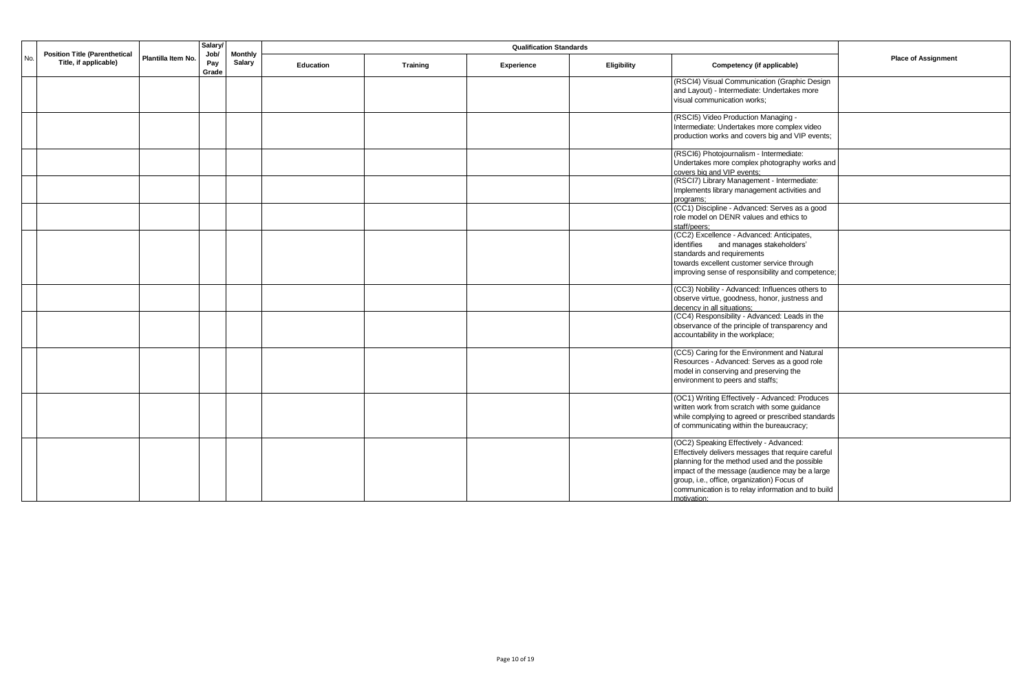|     | <b>Position Title (Parenthetical</b> |                    | Salary/<br>Job/ | <b>Monthly</b> |                  |                 |            |             |                                                                                                                                                                                                                                                                                                                     |                            |
|-----|--------------------------------------|--------------------|-----------------|----------------|------------------|-----------------|------------|-------------|---------------------------------------------------------------------------------------------------------------------------------------------------------------------------------------------------------------------------------------------------------------------------------------------------------------------|----------------------------|
| No. | Title, if applicable)                | Plantilla Item No. | Pay<br>Grade    | Salary         | <b>Education</b> | <b>Training</b> | Experience | Eligibility | Competency (if applicable)                                                                                                                                                                                                                                                                                          | <b>Place of Assignment</b> |
|     |                                      |                    |                 |                |                  |                 |            |             | (RSCI4) Visual Communication (Graphic Design<br>and Layout) - Intermediate: Undertakes more<br>visual communication works;                                                                                                                                                                                          |                            |
|     |                                      |                    |                 |                |                  |                 |            |             | (RSCI5) Video Production Managing -<br>Intermediate: Undertakes more complex video<br>production works and covers big and VIP events;                                                                                                                                                                               |                            |
|     |                                      |                    |                 |                |                  |                 |            |             | (RSCI6) Photojournalism - Intermediate:<br>Undertakes more complex photography works and<br>covers big and VIP events;                                                                                                                                                                                              |                            |
|     |                                      |                    |                 |                |                  |                 |            |             | (RSCI7) Library Management - Intermediate:<br>Implements library management activities and<br>programs:                                                                                                                                                                                                             |                            |
|     |                                      |                    |                 |                |                  |                 |            |             | (CC1) Discipline - Advanced: Serves as a good<br>role model on DENR values and ethics to<br>staff/peers;                                                                                                                                                                                                            |                            |
|     |                                      |                    |                 |                |                  |                 |            |             | (CC2) Excellence - Advanced: Anticipates,<br>identifies and manages stakeholders'<br>standards and requirements<br>towards excellent customer service through<br>improving sense of responsibility and competence;                                                                                                  |                            |
|     |                                      |                    |                 |                |                  |                 |            |             | (CC3) Nobility - Advanced: Influences others to<br>observe virtue, goodness, honor, justness and<br>decency in all situations;                                                                                                                                                                                      |                            |
|     |                                      |                    |                 |                |                  |                 |            |             | (CC4) Responsibility - Advanced: Leads in the<br>observance of the principle of transparency and<br>accountability in the workplace;                                                                                                                                                                                |                            |
|     |                                      |                    |                 |                |                  |                 |            |             | (CC5) Caring for the Environment and Natural<br>Resources - Advanced: Serves as a good role<br>model in conserving and preserving the<br>environment to peers and staffs;                                                                                                                                           |                            |
|     |                                      |                    |                 |                |                  |                 |            |             | (OC1) Writing Effectively - Advanced: Produces<br>written work from scratch with some guidance<br>while complying to agreed or prescribed standards<br>of communicating within the bureaucracy;                                                                                                                     |                            |
|     |                                      |                    |                 |                |                  |                 |            |             | (OC2) Speaking Effectively - Advanced:<br>Effectively delivers messages that require careful<br>planning for the method used and the possible<br>impact of the message (audience may be a large<br>group, i.e., office, organization) Focus of<br>communication is to relay information and to build<br>motivation: |                            |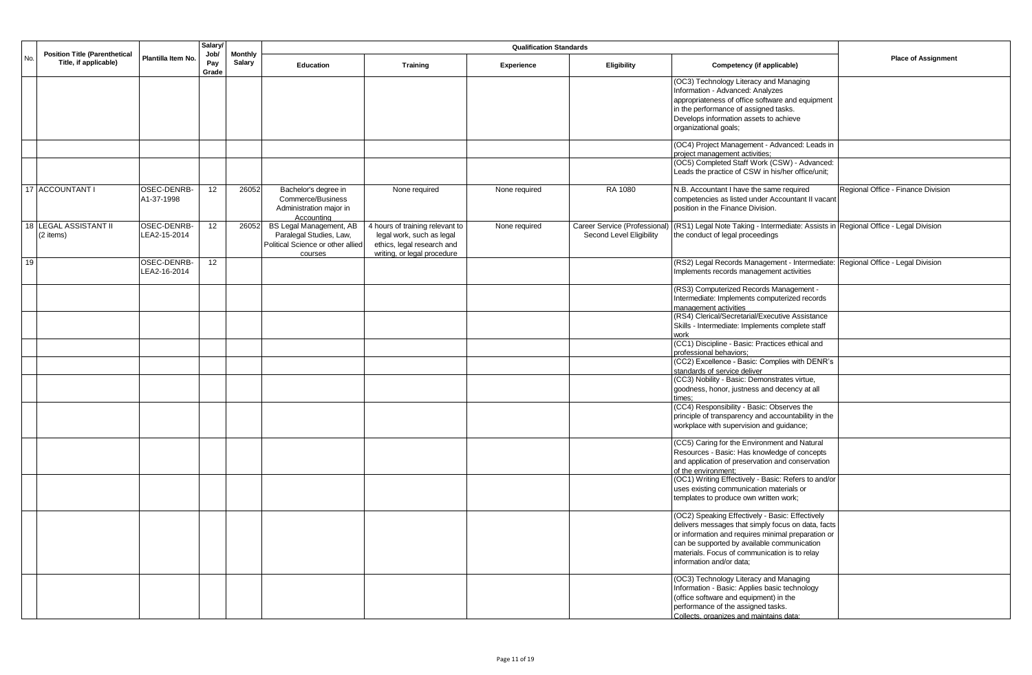|                 |                                                               |                             | Salary/              |               | <b>Qualification Standards</b><br><b>Monthly</b>                                                   |                                                                                                                           |               |                                                           |                                                                                                                                                                                                                                                                                         |                                    |
|-----------------|---------------------------------------------------------------|-----------------------------|----------------------|---------------|----------------------------------------------------------------------------------------------------|---------------------------------------------------------------------------------------------------------------------------|---------------|-----------------------------------------------------------|-----------------------------------------------------------------------------------------------------------------------------------------------------------------------------------------------------------------------------------------------------------------------------------------|------------------------------------|
| No.             | <b>Position Title (Parenthetical</b><br>Title, if applicable) | Plantilla Item No.          | Job/<br>Pay<br>Grade | <b>Salary</b> | Education                                                                                          | Training                                                                                                                  | Experience    | <b>Eligibility</b>                                        | Competency (if applicable)                                                                                                                                                                                                                                                              | <b>Place of Assignment</b>         |
|                 |                                                               |                             |                      |               |                                                                                                    |                                                                                                                           |               |                                                           | (OC3) Technology Literacy and Managing<br>Information - Advanced: Analyzes<br>appropriateness of office software and equipment<br>in the performance of assigned tasks.<br>Develops information assets to achieve<br>organizational goals;                                              |                                    |
|                 |                                                               |                             |                      |               |                                                                                                    |                                                                                                                           |               |                                                           | (OC4) Project Management - Advanced: Leads in<br>project management activities;                                                                                                                                                                                                         |                                    |
|                 |                                                               |                             |                      |               |                                                                                                    |                                                                                                                           |               |                                                           | (OC5) Completed Staff Work (CSW) - Advanced:<br>Leads the practice of CSW in his/her office/unit;                                                                                                                                                                                       |                                    |
|                 | 17 ACCOUNTANT I                                               | OSEC-DENRB-<br>A1-37-1998   | 12                   | 26052         | Bachelor's degree in<br>Commerce/Business<br>Administration major in<br>Accounting                 | None required                                                                                                             | None required | RA 1080                                                   | N.B. Accountant I have the same required<br>competencies as listed under Accountant II vacant<br>position in the Finance Division.                                                                                                                                                      | Regional Office - Finance Division |
| $\overline{18}$ | <b>LEGAL ASSISTANT II</b><br>(2 items)                        | OSEC-DENRB-<br>LEA2-15-2014 | 12                   | 26052         | BS Legal Management, AB<br>Paralegal Studies, Law,<br>Political Science or other allied<br>courses | 4 hours of training relevant to<br>legal work, such as legal<br>ethics, legal research and<br>writing, or legal procedure | None required | Career Service (Professional)<br>Second Level Eligibility | (RS1) Legal Note Taking - Intermediate: Assists in Regional Office - Legal Division<br>the conduct of legal proceedings                                                                                                                                                                 |                                    |
| 19              |                                                               | OSEC-DENRB-<br>LEA2-16-2014 | 12                   |               |                                                                                                    |                                                                                                                           |               |                                                           | (RS2) Legal Records Management - Intermediate: Regional Office - Legal Division<br>Implements records management activities                                                                                                                                                             |                                    |
|                 |                                                               |                             |                      |               |                                                                                                    |                                                                                                                           |               |                                                           | (RS3) Computerized Records Management -<br>Intermediate: Implements computerized records<br>management activities<br>(RS4) Clerical/Secretarial/Executive Assistance                                                                                                                    |                                    |
|                 |                                                               |                             |                      |               |                                                                                                    |                                                                                                                           |               |                                                           | Skills - Intermediate: Implements complete staff<br>work                                                                                                                                                                                                                                |                                    |
|                 |                                                               |                             |                      |               |                                                                                                    |                                                                                                                           |               |                                                           | (CC1) Discipline - Basic: Practices ethical and<br>professional behaviors;                                                                                                                                                                                                              |                                    |
|                 |                                                               |                             |                      |               |                                                                                                    |                                                                                                                           |               |                                                           | (CC2) Excellence - Basic: Complies with DENR's<br>standards of service deliver                                                                                                                                                                                                          |                                    |
|                 |                                                               |                             |                      |               |                                                                                                    |                                                                                                                           |               |                                                           | (CC3) Nobility - Basic: Demonstrates virtue,<br>goodness, honor, justness and decency at all<br>times;                                                                                                                                                                                  |                                    |
|                 |                                                               |                             |                      |               |                                                                                                    |                                                                                                                           |               |                                                           | (CC4) Responsibility - Basic: Observes the<br>principle of transparency and accountability in the<br>workplace with supervision and guidance;                                                                                                                                           |                                    |
|                 |                                                               |                             |                      |               |                                                                                                    |                                                                                                                           |               |                                                           | (CC5) Caring for the Environment and Natural<br>Resources - Basic: Has knowledge of concepts<br>and application of preservation and conservation<br>of the environment;                                                                                                                 |                                    |
|                 |                                                               |                             |                      |               |                                                                                                    |                                                                                                                           |               |                                                           | (OC1) Writing Effectively - Basic: Refers to and/or<br>uses existing communication materials or<br>templates to produce own written work;                                                                                                                                               |                                    |
|                 |                                                               |                             |                      |               |                                                                                                    |                                                                                                                           |               |                                                           | (OC2) Speaking Effectively - Basic: Effectively<br>delivers messages that simply focus on data, facts<br>or information and requires minimal preparation or<br>can be supported by available communication<br>materials. Focus of communication is to relay<br>information and/or data; |                                    |
|                 |                                                               |                             |                      |               |                                                                                                    |                                                                                                                           |               |                                                           | (OC3) Technology Literacy and Managing<br>Information - Basic: Applies basic technology<br>(office software and equipment) in the<br>performance of the assigned tasks.<br>Collects, organizes and maintains data:                                                                      |                                    |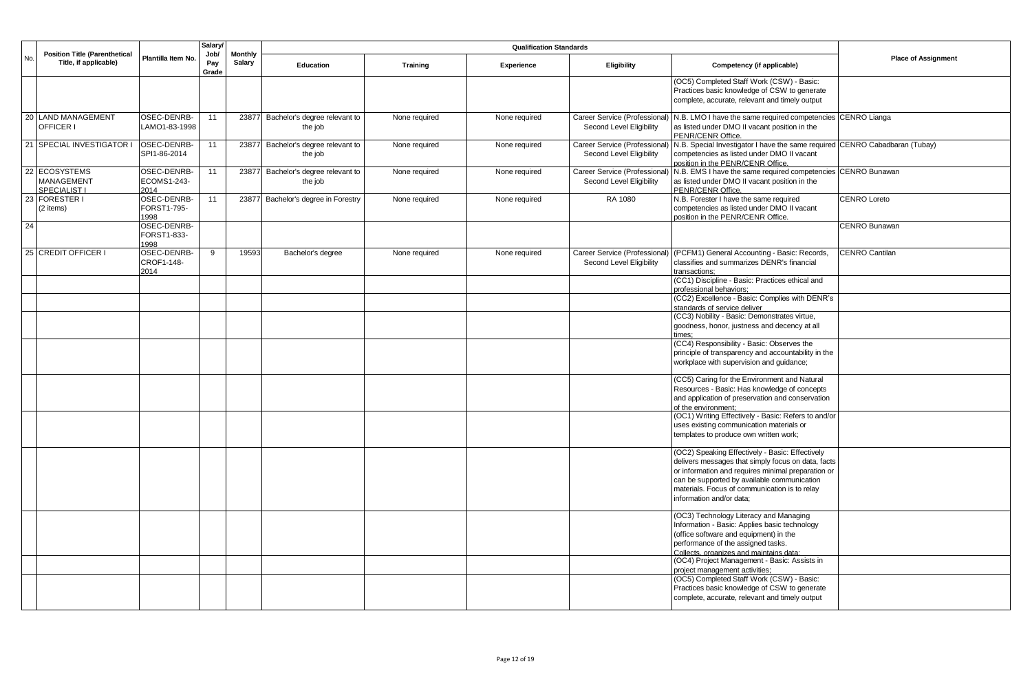|     |                                                               |                                    | Salary               |                                 | <b>Qualification Standards</b>           |                 |               |                                                           |                                                                                                                                                                                                                                                                                         |                            |
|-----|---------------------------------------------------------------|------------------------------------|----------------------|---------------------------------|------------------------------------------|-----------------|---------------|-----------------------------------------------------------|-----------------------------------------------------------------------------------------------------------------------------------------------------------------------------------------------------------------------------------------------------------------------------------------|----------------------------|
| No. | <b>Position Title (Parenthetical</b><br>Title, if applicable) | Plantilla Item No.                 | Job/<br>Pay<br>Grade | <b>Monthly</b><br><b>Salary</b> | Education                                | <b>Training</b> | Experience    | Eligibility                                               | Competency (if applicable)                                                                                                                                                                                                                                                              | <b>Place of Assignment</b> |
|     |                                                               |                                    |                      |                                 |                                          |                 |               |                                                           | (OC5) Completed Staff Work (CSW) - Basic:<br>Practices basic knowledge of CSW to generate<br>complete, accurate, relevant and timely output                                                                                                                                             |                            |
|     | 20 LAND MANAGEMENT<br>OFFICER I                               | OSEC-DENRB-<br>LAMO1-83-1998       | 11                   | 23877                           | Bachelor's degree relevant to<br>the job | None required   | None required | Second Level Eligibility                                  | Career Service (Professional) N.B. LMO I have the same required competencies CENRO Lianga<br>as listed under DMO II vacant position in the<br>PENR/CENR Office.                                                                                                                         |                            |
|     | 21 SPECIAL INVESTIGATOR                                       | OSEC-DENRB-<br>SPI1-86-2014        | 11                   | 23877                           | Bachelor's degree relevant to<br>the job | None required   | None required | Career Service (Professional)<br>Second Level Eligibility | N.B. Special Investigator I have the same required CENRO Cabadbaran (Tubay)<br>competencies as listed under DMO II vacant<br>position in the PENR/CENR Office.                                                                                                                          |                            |
|     | 22 ECOSYSTEMS<br><b>MANAGEMENT</b><br>SPECIALIST I            | OSEC-DENRB-<br>ECOMS1-243-<br>2014 | 11                   | 23877                           | Bachelor's degree relevant to<br>the job | None required   | None required | Career Service (Professional)<br>Second Level Eligibility | N.B. EMS I have the same required competencies CENRO Bunawan<br>as listed under DMO II vacant position in the<br>PENR/CENR Office.                                                                                                                                                      |                            |
|     | 23 FORESTER I<br>(2 items)                                    | OSEC-DENRB-<br>FORST1-795-<br>1998 | 11                   |                                 | 23877 Bachelor's degree in Forestry      | None required   | None required | RA 1080                                                   | N.B. Forester I have the same required<br>competencies as listed under DMO II vacant<br>position in the PENR/CENR Office.                                                                                                                                                               | <b>CENRO Loreto</b>        |
| 24  |                                                               | OSEC-DENRB-<br>FORST1-833-<br>1998 |                      |                                 |                                          |                 |               |                                                           |                                                                                                                                                                                                                                                                                         | CENRO Bunawan              |
|     | 25 CREDIT OFFICER I                                           | OSEC-DENRB-<br>CROF1-148-<br>2014  | 9                    | 19593                           | Bachelor's degree                        | None required   | None required | Career Service (Professional)<br>Second Level Eligibility | (PCFM1) General Accounting - Basic: Records,<br>classifies and summarizes DENR's financial<br>transactions:                                                                                                                                                                             | <b>CENRO Cantilan</b>      |
|     |                                                               |                                    |                      |                                 |                                          |                 |               |                                                           | (CC1) Discipline - Basic: Practices ethical and<br>professional behaviors;                                                                                                                                                                                                              |                            |
|     |                                                               |                                    |                      |                                 |                                          |                 |               |                                                           | (CC2) Excellence - Basic: Complies with DENR's<br>standards of service deliver                                                                                                                                                                                                          |                            |
|     |                                                               |                                    |                      |                                 |                                          |                 |               |                                                           | (CC3) Nobility - Basic: Demonstrates virtue,<br>goodness, honor, justness and decency at all<br>times:                                                                                                                                                                                  |                            |
|     |                                                               |                                    |                      |                                 |                                          |                 |               |                                                           | (CC4) Responsibility - Basic: Observes the<br>principle of transparency and accountability in the<br>workplace with supervision and guidance;                                                                                                                                           |                            |
|     |                                                               |                                    |                      |                                 |                                          |                 |               |                                                           | (CC5) Caring for the Environment and Natural<br>Resources - Basic: Has knowledge of concepts<br>and application of preservation and conservation<br>of the environment:                                                                                                                 |                            |
|     |                                                               |                                    |                      |                                 |                                          |                 |               |                                                           | (OC1) Writing Effectively - Basic: Refers to and/or<br>uses existing communication materials or<br>templates to produce own written work;                                                                                                                                               |                            |
|     |                                                               |                                    |                      |                                 |                                          |                 |               |                                                           | (OC2) Speaking Effectively - Basic: Effectively<br>delivers messages that simply focus on data, facts<br>or information and requires minimal preparation or<br>can be supported by available communication<br>materials. Focus of communication is to relay<br>information and/or data; |                            |
|     |                                                               |                                    |                      |                                 |                                          |                 |               |                                                           | (OC3) Technology Literacy and Managing<br>Information - Basic: Applies basic technology<br>(office software and equipment) in the<br>performance of the assigned tasks.<br>Collects. organizes and maintains data:                                                                      |                            |
|     |                                                               |                                    |                      |                                 |                                          |                 |               |                                                           | (OC4) Project Management - Basic: Assists in<br>project management activities;                                                                                                                                                                                                          |                            |
|     |                                                               |                                    |                      |                                 |                                          |                 |               |                                                           | (OC5) Completed Staff Work (CSW) - Basic:<br>Practices basic knowledge of CSW to generate<br>complete, accurate, relevant and timely output                                                                                                                                             |                            |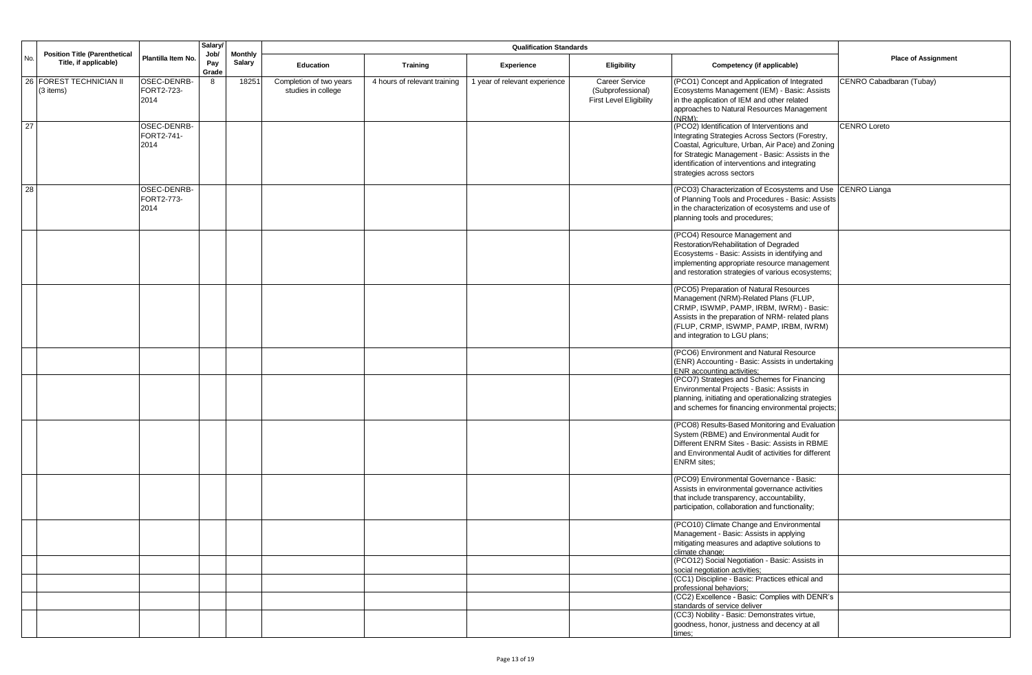|     |                                                               |                                   | Salary/      |       |                                               |                              |                                 |                                                                              |                                                                                                                                                                                                                                                                                         |                          |             |                            |                            |
|-----|---------------------------------------------------------------|-----------------------------------|--------------|-------|-----------------------------------------------|------------------------------|---------------------------------|------------------------------------------------------------------------------|-----------------------------------------------------------------------------------------------------------------------------------------------------------------------------------------------------------------------------------------------------------------------------------------|--------------------------|-------------|----------------------------|----------------------------|
| No. | <b>Position Title (Parenthetical</b><br>Title, if applicable) | Plantilla Item No.                | Pay<br>Grade |       | Job/                                          |                              | <b>Monthly</b><br><b>Salary</b> | Education                                                                    | <b>Training</b>                                                                                                                                                                                                                                                                         | Experience               | Eligibility | Competency (if applicable) | <b>Place of Assignment</b> |
| 26  | FOREST TECHNICIAN II<br>(3 items)                             | OSEC-DENRB-<br>FORT2-723-<br>2014 | 8            | 18251 | Completion of two years<br>studies in college | 4 hours of relevant training | 1 year of relevant experience   | <b>Career Service</b><br>(Subprofessional)<br><b>First Level Eligibility</b> | (PCO1) Concept and Application of Integrated<br>Ecosystems Management (IEM) - Basic: Assists<br>in the application of IEM and other related<br>approaches to Natural Resources Management<br>(NRM):                                                                                     | CENRO Cabadbaran (Tubay) |             |                            |                            |
| 27  |                                                               | OSEC-DENRB-<br>FORT2-741-<br>2014 |              |       |                                               |                              |                                 |                                                                              | (PCO2) Identification of Interventions and<br>Integrating Strategies Across Sectors (Forestry,<br>Coastal, Agriculture, Urban, Air Pace) and Zoning<br>for Strategic Management - Basic: Assists in the<br>identification of interventions and integrating<br>strategies across sectors | CENRO Loreto             |             |                            |                            |
| 28  |                                                               | OSEC-DENRB-<br>FORT2-773-<br>2014 |              |       |                                               |                              |                                 |                                                                              | (PCO3) Characterization of Ecosystems and Use<br>of Planning Tools and Procedures - Basic: Assists<br>in the characterization of ecosystems and use of<br>planning tools and procedures;                                                                                                | CENRO Lianga             |             |                            |                            |
|     |                                                               |                                   |              |       |                                               |                              |                                 |                                                                              | (PCO4) Resource Management and<br>Restoration/Rehabilitation of Degraded<br>Ecosystems - Basic: Assists in identifying and<br>implementing appropriate resource management<br>and restoration strategies of various ecosystems;                                                         |                          |             |                            |                            |
|     |                                                               |                                   |              |       |                                               |                              |                                 |                                                                              | (PCO5) Preparation of Natural Resources<br>Management (NRM)-Related Plans (FLUP,<br>CRMP, ISWMP, PAMP, IRBM, IWRM) - Basic:<br>Assists in the preparation of NRM- related plans<br>(FLUP, CRMP, ISWMP, PAMP, IRBM, IWRM)<br>and integration to LGU plans;                               |                          |             |                            |                            |
|     |                                                               |                                   |              |       |                                               |                              |                                 |                                                                              | (PCO6) Environment and Natural Resource<br>(ENR) Accounting - Basic: Assists in undertaking<br>ENR accounting activities;                                                                                                                                                               |                          |             |                            |                            |
|     |                                                               |                                   |              |       |                                               |                              |                                 |                                                                              | (PCO7) Strategies and Schemes for Financing<br>Environmental Projects - Basic: Assists in<br>planning, initiating and operationalizing strategies<br>and schemes for financing environmental projects;                                                                                  |                          |             |                            |                            |
|     |                                                               |                                   |              |       |                                               |                              |                                 |                                                                              | (PCO8) Results-Based Monitoring and Evaluation<br>System (RBME) and Environmental Audit for<br>Different ENRM Sites - Basic: Assists in RBME<br>and Environmental Audit of activities for different<br>ENRM sites;                                                                      |                          |             |                            |                            |
|     |                                                               |                                   |              |       |                                               |                              |                                 |                                                                              | (PCO9) Environmental Governance - Basic:<br>Assists in environmental governance activities<br>that include transparency, accountability,<br>participation, collaboration and functionality;                                                                                             |                          |             |                            |                            |
|     |                                                               |                                   |              |       |                                               |                              |                                 |                                                                              | (PCO10) Climate Change and Environmental<br>Management - Basic: Assists in applying<br>mitigating measures and adaptive solutions to<br>climate change;                                                                                                                                 |                          |             |                            |                            |
|     |                                                               |                                   |              |       |                                               |                              |                                 |                                                                              | (PCO12) Social Negotiation - Basic: Assists in<br>social negotiation activities;                                                                                                                                                                                                        |                          |             |                            |                            |
|     |                                                               |                                   |              |       |                                               |                              |                                 |                                                                              | (CC1) Discipline - Basic: Practices ethical and<br>professional behaviors;                                                                                                                                                                                                              |                          |             |                            |                            |
|     |                                                               |                                   |              |       |                                               |                              |                                 |                                                                              | (CC2) Excellence - Basic: Complies with DENR's<br>standards of service deliver                                                                                                                                                                                                          |                          |             |                            |                            |
|     |                                                               |                                   |              |       |                                               |                              |                                 |                                                                              | (CC3) Nobility - Basic: Demonstrates virtue,<br>goodness, honor, justness and decency at all<br>times;                                                                                                                                                                                  |                          |             |                            |                            |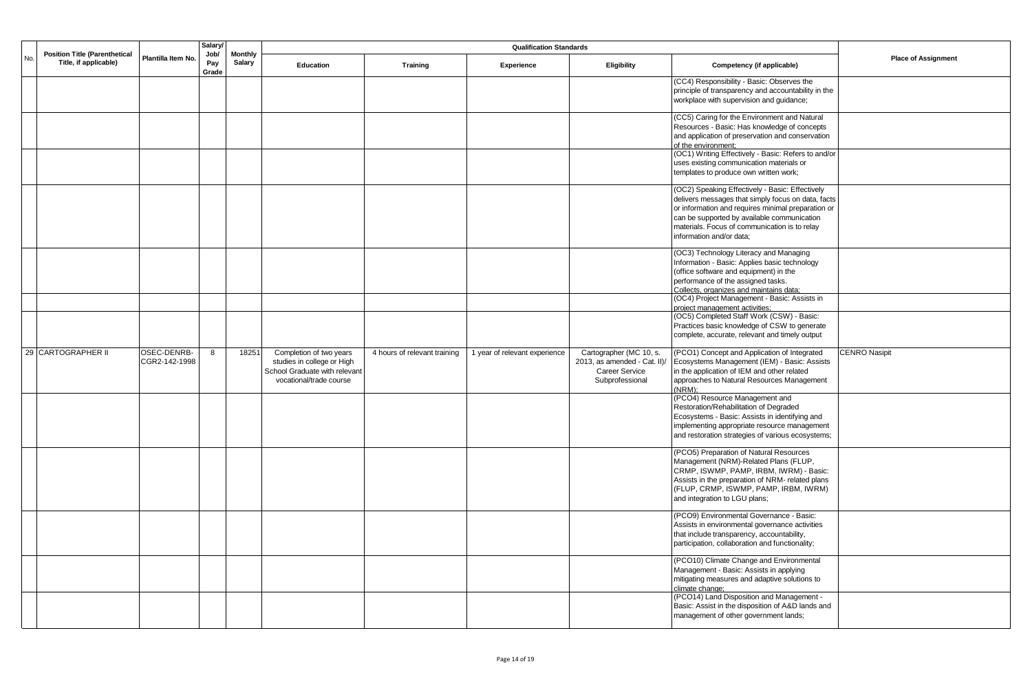|     |                                                               |                              |                      | <b>Salary</b>                   |                                                                                                                   |                              |                               |                                                                                                     |                                                                                                                                                                                                                                                                                         |                            |
|-----|---------------------------------------------------------------|------------------------------|----------------------|---------------------------------|-------------------------------------------------------------------------------------------------------------------|------------------------------|-------------------------------|-----------------------------------------------------------------------------------------------------|-----------------------------------------------------------------------------------------------------------------------------------------------------------------------------------------------------------------------------------------------------------------------------------------|----------------------------|
| No. | <b>Position Title (Parenthetical</b><br>Title, if applicable) | Plantilla Item No.           | Job/<br>Pay<br>Grade | <b>Monthly</b><br><b>Salary</b> | <b>Education</b>                                                                                                  | <b>Training</b>              | Experience                    | Eligibility                                                                                         | Competency (if applicable)                                                                                                                                                                                                                                                              | <b>Place of Assignment</b> |
|     |                                                               |                              |                      |                                 |                                                                                                                   |                              |                               |                                                                                                     | (CC4) Responsibility - Basic: Observes the<br>principle of transparency and accountability in the<br>workplace with supervision and quidance;                                                                                                                                           |                            |
|     |                                                               |                              |                      |                                 |                                                                                                                   |                              |                               |                                                                                                     | (CC5) Caring for the Environment and Natural<br>Resources - Basic: Has knowledge of concepts<br>and application of preservation and conservation<br>of the environment;<br>(OC1) Writing Effectively - Basic: Refers to and/or<br>uses existing communication materials or              |                            |
|     |                                                               |                              |                      |                                 |                                                                                                                   |                              |                               |                                                                                                     | templates to produce own written work;                                                                                                                                                                                                                                                  |                            |
|     |                                                               |                              |                      |                                 |                                                                                                                   |                              |                               |                                                                                                     | (OC2) Speaking Effectively - Basic: Effectively<br>delivers messages that simply focus on data, facts<br>or information and requires minimal preparation or<br>can be supported by available communication<br>materials. Focus of communication is to relay<br>information and/or data; |                            |
|     |                                                               |                              |                      |                                 |                                                                                                                   |                              |                               |                                                                                                     | (OC3) Technology Literacy and Managing<br>Information - Basic: Applies basic technology<br>(office software and equipment) in the<br>performance of the assigned tasks.<br>Collects, organizes and maintains data;                                                                      |                            |
|     |                                                               |                              |                      |                                 |                                                                                                                   |                              |                               |                                                                                                     | (OC4) Project Management - Basic: Assists in<br>project management activities;                                                                                                                                                                                                          |                            |
|     |                                                               |                              |                      |                                 |                                                                                                                   |                              |                               |                                                                                                     | (OC5) Completed Staff Work (CSW) - Basic:<br>Practices basic knowledge of CSW to generate<br>complete, accurate, relevant and timely output                                                                                                                                             |                            |
|     | 29 CARTOGRAPHER II                                            | OSEC-DENRB-<br>CGR2-142-1998 | 8                    | 18251                           | Completion of two years<br>studies in college or High<br>School Graduate with relevant<br>vocational/trade course | 4 hours of relevant training | 1 year of relevant experience | Cartographer (MC 10, s.<br>2013, as amended - Cat. II)/<br><b>Career Service</b><br>Subprofessional | (PCO1) Concept and Application of Integrated<br>Ecosystems Management (IEM) - Basic: Assists<br>in the application of IEM and other related<br>approaches to Natural Resources Management<br>$(NRM)$ :                                                                                  | <b>CENRO Nasipit</b>       |
|     |                                                               |                              |                      |                                 |                                                                                                                   |                              |                               |                                                                                                     | (PCO4) Resource Management and<br>Restoration/Rehabilitation of Degraded<br>Ecosystems - Basic: Assists in identifying and<br>implementing appropriate resource management<br>and restoration strategies of various ecosystems;                                                         |                            |
|     |                                                               |                              |                      |                                 |                                                                                                                   |                              |                               |                                                                                                     | (PCO5) Preparation of Natural Resources<br>Management (NRM)-Related Plans (FLUP,<br>CRMP, ISWMP, PAMP, IRBM, IWRM) - Basic:<br>Assists in the preparation of NRM- related plans<br>(FLUP, CRMP, ISWMP, PAMP, IRBM, IWRM)<br>and integration to LGU plans;                               |                            |
|     |                                                               |                              |                      |                                 |                                                                                                                   |                              |                               |                                                                                                     | (PCO9) Environmental Governance - Basic:<br>Assists in environmental governance activities<br>that include transparency, accountability,<br>participation, collaboration and functionality;                                                                                             |                            |
|     |                                                               |                              |                      |                                 |                                                                                                                   |                              |                               |                                                                                                     | (PCO10) Climate Change and Environmental<br>Management - Basic: Assists in applying<br>mitigating measures and adaptive solutions to<br>climate change;                                                                                                                                 |                            |
|     |                                                               |                              |                      |                                 |                                                                                                                   |                              |                               |                                                                                                     | (PCO14) Land Disposition and Management -<br>Basic: Assist in the disposition of A&D lands and<br>management of other government lands;                                                                                                                                                 |                            |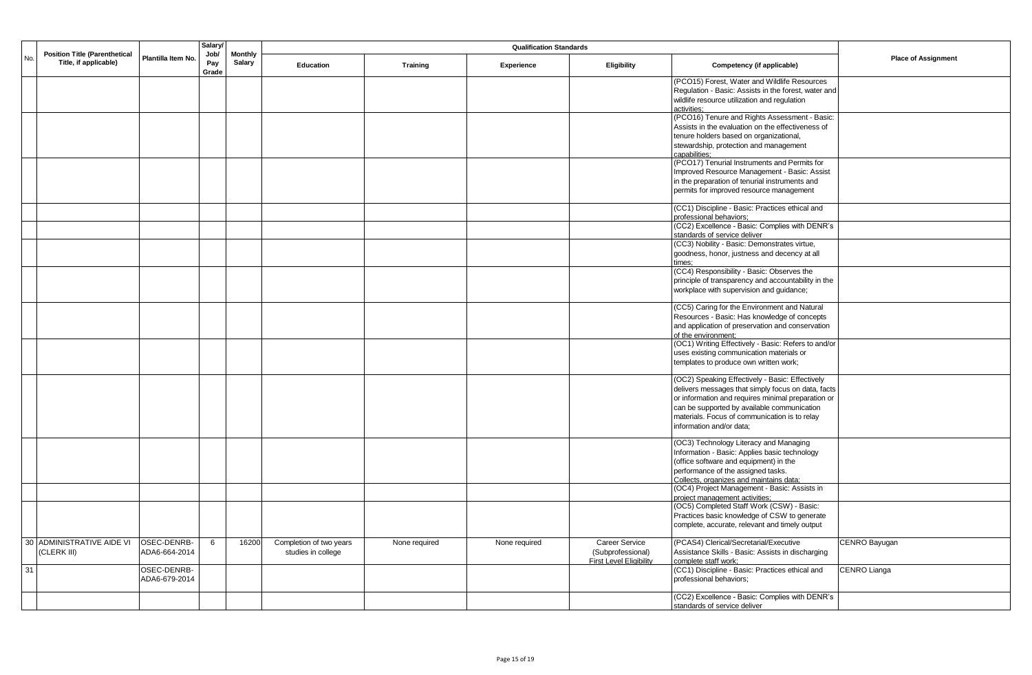|     |                                                               |                              | Salary               |                                 |                                               |               |               |                                            |                                                                                                 |                            |
|-----|---------------------------------------------------------------|------------------------------|----------------------|---------------------------------|-----------------------------------------------|---------------|---------------|--------------------------------------------|-------------------------------------------------------------------------------------------------|----------------------------|
| No. | <b>Position Title (Parenthetical</b><br>Title, if applicable) | Plantilla Item No.           | Job/<br>Pay<br>Grade | <b>Monthly</b><br><b>Salary</b> | Education                                     | Training      | Experience    | Eligibility                                | Competency (if applicable)                                                                      | <b>Place of Assignment</b> |
|     |                                                               |                              |                      |                                 |                                               |               |               |                                            | (PCO15) Forest, Water and Wildlife Resources                                                    |                            |
|     |                                                               |                              |                      |                                 |                                               |               |               |                                            | Regulation - Basic: Assists in the forest, water and                                            |                            |
|     |                                                               |                              |                      |                                 |                                               |               |               |                                            | wildlife resource utilization and regulation<br>activities;                                     |                            |
|     |                                                               |                              |                      |                                 |                                               |               |               |                                            | (PCO16) Tenure and Rights Assessment - Basic:                                                   |                            |
|     |                                                               |                              |                      |                                 |                                               |               |               |                                            | Assists in the evaluation on the effectiveness of                                               |                            |
|     |                                                               |                              |                      |                                 |                                               |               |               |                                            | tenure holders based on organizational,                                                         |                            |
|     |                                                               |                              |                      |                                 |                                               |               |               |                                            | stewardship, protection and management<br>capabilities:                                         |                            |
|     |                                                               |                              |                      |                                 |                                               |               |               |                                            | (PCO17) Tenurial Instruments and Permits for                                                    |                            |
|     |                                                               |                              |                      |                                 |                                               |               |               |                                            | Improved Resource Management - Basic: Assist                                                    |                            |
|     |                                                               |                              |                      |                                 |                                               |               |               |                                            | in the preparation of tenurial instruments and                                                  |                            |
|     |                                                               |                              |                      |                                 |                                               |               |               |                                            | permits for improved resource management                                                        |                            |
|     |                                                               |                              |                      |                                 |                                               |               |               |                                            | (CC1) Discipline - Basic: Practices ethical and                                                 |                            |
|     |                                                               |                              |                      |                                 |                                               |               |               |                                            | professional behaviors:                                                                         |                            |
|     |                                                               |                              |                      |                                 |                                               |               |               |                                            | (CC2) Excellence - Basic: Complies with DENR's                                                  |                            |
|     |                                                               |                              |                      |                                 |                                               |               |               |                                            | standards of service deliver<br>(CC3) Nobility - Basic: Demonstrates virtue,                    |                            |
|     |                                                               |                              |                      |                                 |                                               |               |               |                                            | goodness, honor, justness and decency at all                                                    |                            |
|     |                                                               |                              |                      |                                 |                                               |               |               |                                            | times:                                                                                          |                            |
|     |                                                               |                              |                      |                                 |                                               |               |               |                                            | (CC4) Responsibility - Basic: Observes the                                                      |                            |
|     |                                                               |                              |                      |                                 |                                               |               |               |                                            | principle of transparency and accountability in the<br>workplace with supervision and guidance; |                            |
|     |                                                               |                              |                      |                                 |                                               |               |               |                                            |                                                                                                 |                            |
|     |                                                               |                              |                      |                                 |                                               |               |               |                                            | (CC5) Caring for the Environment and Natural                                                    |                            |
|     |                                                               |                              |                      |                                 |                                               |               |               |                                            | Resources - Basic: Has knowledge of concepts                                                    |                            |
|     |                                                               |                              |                      |                                 |                                               |               |               |                                            | and application of preservation and conservation<br>of the environment;                         |                            |
|     |                                                               |                              |                      |                                 |                                               |               |               |                                            | (OC1) Writing Effectively - Basic: Refers to and/or                                             |                            |
|     |                                                               |                              |                      |                                 |                                               |               |               |                                            | uses existing communication materials or                                                        |                            |
|     |                                                               |                              |                      |                                 |                                               |               |               |                                            | templates to produce own written work;                                                          |                            |
|     |                                                               |                              |                      |                                 |                                               |               |               |                                            | (OC2) Speaking Effectively - Basic: Effectively                                                 |                            |
|     |                                                               |                              |                      |                                 |                                               |               |               |                                            | delivers messages that simply focus on data, facts                                              |                            |
|     |                                                               |                              |                      |                                 |                                               |               |               |                                            | or information and requires minimal preparation or                                              |                            |
|     |                                                               |                              |                      |                                 |                                               |               |               |                                            | can be supported by available communication                                                     |                            |
|     |                                                               |                              |                      |                                 |                                               |               |               |                                            | materials. Focus of communication is to relay<br>information and/or data;                       |                            |
|     |                                                               |                              |                      |                                 |                                               |               |               |                                            |                                                                                                 |                            |
|     |                                                               |                              |                      |                                 |                                               |               |               |                                            | (OC3) Technology Literacy and Managing                                                          |                            |
|     |                                                               |                              |                      |                                 |                                               |               |               |                                            | Information - Basic: Applies basic technology<br>(office software and equipment) in the         |                            |
|     |                                                               |                              |                      |                                 |                                               |               |               |                                            | performance of the assigned tasks.                                                              |                            |
|     |                                                               |                              |                      |                                 |                                               |               |               |                                            | Collects, organizes and maintains data:                                                         |                            |
|     |                                                               |                              |                      |                                 |                                               |               |               |                                            | (OC4) Project Management - Basic: Assists in                                                    |                            |
|     |                                                               |                              |                      |                                 |                                               |               |               |                                            | project management activities;<br>(OC5) Completed Staff Work (CSW) - Basic:                     |                            |
|     |                                                               |                              |                      |                                 |                                               |               |               |                                            | Practices basic knowledge of CSW to generate                                                    |                            |
|     |                                                               |                              |                      |                                 |                                               |               |               |                                            | complete, accurate, relevant and timely output                                                  |                            |
|     |                                                               |                              |                      |                                 |                                               |               |               |                                            |                                                                                                 |                            |
|     | 30 ADMINISTRATIVE AIDE VI<br>(CLERK III)                      | OSEC-DENRB-<br>ADA6-664-2014 | 6                    | 16200                           | Completion of two years<br>studies in college | None required | None required | <b>Career Service</b><br>(Subprofessional) | (PCAS4) Clerical/Secretarial/Executive<br>Assistance Skills - Basic: Assists in discharging     | CENRO Bayugan              |
|     |                                                               |                              |                      |                                 |                                               |               |               | <b>First Level Eligibility</b>             | complete staff work;                                                                            |                            |
| 31  |                                                               | OSEC-DENRB-                  |                      |                                 |                                               |               |               |                                            | (CC1) Discipline - Basic: Practices ethical and                                                 | CENRO Lianga               |
|     |                                                               | ADA6-679-2014                |                      |                                 |                                               |               |               |                                            | professional behaviors:                                                                         |                            |
|     |                                                               |                              |                      |                                 |                                               |               |               |                                            | (CC2) Excellence - Basic: Complies with DENR's                                                  |                            |
|     |                                                               |                              |                      |                                 |                                               |               |               |                                            | standards of service deliver                                                                    |                            |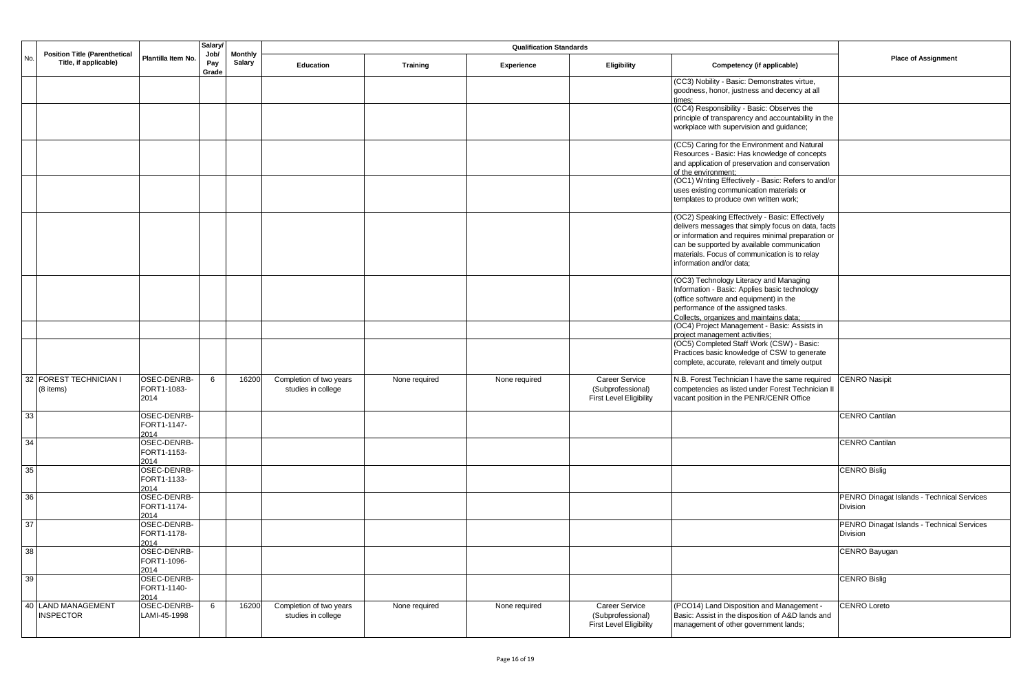|     |                                                               |                                    | <b>Salary</b>        |                          |                                               |                 |               |                                                                       |                                                                                                                                                                                                                                                                                         |                                                        |
|-----|---------------------------------------------------------------|------------------------------------|----------------------|--------------------------|-----------------------------------------------|-----------------|---------------|-----------------------------------------------------------------------|-----------------------------------------------------------------------------------------------------------------------------------------------------------------------------------------------------------------------------------------------------------------------------------------|--------------------------------------------------------|
| No. | <b>Position Title (Parenthetical</b><br>Title, if applicable) | Plantilla Item No.                 | Job/<br>Pay<br>Grade | <b>Monthly</b><br>Salary | Education                                     | <b>Training</b> | Experience    | <b>Eligibility</b>                                                    | Competency (if applicable)                                                                                                                                                                                                                                                              | <b>Place of Assignment</b>                             |
|     |                                                               |                                    |                      |                          |                                               |                 |               |                                                                       | (CC3) Nobility - Basic: Demonstrates virtue,<br>goodness, honor, justness and decency at all<br>imes:                                                                                                                                                                                   |                                                        |
|     |                                                               |                                    |                      |                          |                                               |                 |               |                                                                       | (CC4) Responsibility - Basic: Observes the<br>principle of transparency and accountability in the<br>workplace with supervision and guidance;                                                                                                                                           |                                                        |
|     |                                                               |                                    |                      |                          |                                               |                 |               |                                                                       | (CC5) Caring for the Environment and Natural<br>Resources - Basic: Has knowledge of concepts<br>and application of preservation and conservation<br>of the environment:                                                                                                                 |                                                        |
|     |                                                               |                                    |                      |                          |                                               |                 |               |                                                                       | (OC1) Writing Effectively - Basic: Refers to and/or<br>uses existing communication materials or<br>templates to produce own written work;                                                                                                                                               |                                                        |
|     |                                                               |                                    |                      |                          |                                               |                 |               |                                                                       | (OC2) Speaking Effectively - Basic: Effectively<br>delivers messages that simply focus on data, facts<br>or information and requires minimal preparation or<br>can be supported by available communication<br>materials. Focus of communication is to relay<br>information and/or data; |                                                        |
|     |                                                               |                                    |                      |                          |                                               |                 |               |                                                                       | (OC3) Technology Literacy and Managing<br>Information - Basic: Applies basic technology<br>(office software and equipment) in the<br>performance of the assigned tasks.<br>Collects, organizes and maintains data:                                                                      |                                                        |
|     |                                                               |                                    |                      |                          |                                               |                 |               |                                                                       | (OC4) Project Management - Basic: Assists in<br>project management activities;                                                                                                                                                                                                          |                                                        |
|     |                                                               |                                    |                      |                          |                                               |                 |               |                                                                       | (OC5) Completed Staff Work (CSW) - Basic:<br>Practices basic knowledge of CSW to generate<br>complete, accurate, relevant and timely output                                                                                                                                             |                                                        |
|     | 32 FOREST TECHNICIAN<br>(8 items)                             | OSEC-DENRB-<br>FORT1-1083-<br>2014 | 6                    | 16200                    | Completion of two years<br>studies in college | None required   | None required | Career Service<br>(Subprofessional)<br><b>First Level Eligibility</b> | N.B. Forest Technician I have the same required<br>competencies as listed under Forest Technician II<br>vacant position in the PENR/CENR Office                                                                                                                                         | <b>CENRO Nasipit</b>                                   |
| 33  |                                                               | OSEC-DENRB-<br>FORT1-1147-<br>2014 |                      |                          |                                               |                 |               |                                                                       |                                                                                                                                                                                                                                                                                         | CENRO Cantilan                                         |
| 34  |                                                               | OSEC-DENRB-<br>FORT1-1153-<br>2014 |                      |                          |                                               |                 |               |                                                                       |                                                                                                                                                                                                                                                                                         | <b>CENRO Cantilan</b>                                  |
| 35  |                                                               | OSEC-DENRB-<br>FORT1-1133-<br>2014 |                      |                          |                                               |                 |               |                                                                       |                                                                                                                                                                                                                                                                                         | <b>CENRO Bislig</b>                                    |
| 36  |                                                               | OSEC-DENRB-<br>FORT1-1174-<br>2014 |                      |                          |                                               |                 |               |                                                                       |                                                                                                                                                                                                                                                                                         | PENRO Dinagat Islands - Technical Services<br>Division |
| 37  |                                                               | OSEC-DENRB-<br>FORT1-1178-<br>2014 |                      |                          |                                               |                 |               |                                                                       |                                                                                                                                                                                                                                                                                         | PENRO Dinagat Islands - Technical Services<br>Division |
| 38  |                                                               | OSEC-DENRB-<br>FORT1-1096-<br>2014 |                      |                          |                                               |                 |               |                                                                       |                                                                                                                                                                                                                                                                                         | CENRO Bayugan                                          |
| 39  |                                                               | OSEC-DENRB-<br>FORT1-1140-<br>2014 |                      |                          |                                               |                 |               |                                                                       |                                                                                                                                                                                                                                                                                         | <b>CENRO Bislig</b>                                    |
|     | 40 LAND MANAGEMENT<br><b>INSPECTOR</b>                        | OSEC-DENRB-<br>LAMI-45-1998        | 6                    | 16200                    | Completion of two years<br>studies in college | None required   | None required | <b>Career Service</b><br>(Subprofessional)<br>First Level Eligibility | (PCO14) Land Disposition and Management -<br>Basic: Assist in the disposition of A&D lands and<br>management of other government lands;                                                                                                                                                 | <b>CENRO Loreto</b>                                    |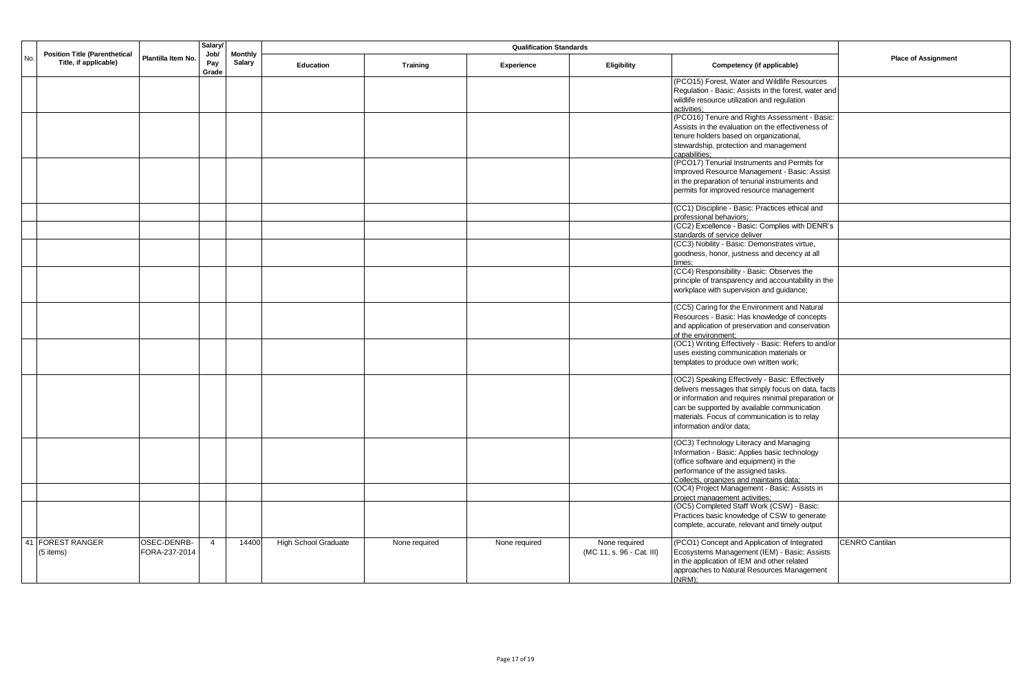|     |                                                               |                    | <b>Salary</b><br>Job/ |                                 |                             |               |               |                           |                                                                                                      |                            |
|-----|---------------------------------------------------------------|--------------------|-----------------------|---------------------------------|-----------------------------|---------------|---------------|---------------------------|------------------------------------------------------------------------------------------------------|----------------------------|
| No. | <b>Position Title (Parenthetical</b><br>Title, if applicable) | Plantilla Item No. | Pay<br>Grade          | <b>Monthly</b><br><b>Salary</b> | Education                   | Training      | Experience    | Eligibility               | Competency (if applicable)                                                                           | <b>Place of Assignment</b> |
|     |                                                               |                    |                       |                                 |                             |               |               |                           | (PCO15) Forest, Water and Wildlife Resources                                                         |                            |
|     |                                                               |                    |                       |                                 |                             |               |               |                           | Regulation - Basic: Assists in the forest, water and<br>wildlife resource utilization and regulation |                            |
|     |                                                               |                    |                       |                                 |                             |               |               |                           | activities:                                                                                          |                            |
|     |                                                               |                    |                       |                                 |                             |               |               |                           | (PCO16) Tenure and Rights Assessment - Basic:                                                        |                            |
|     |                                                               |                    |                       |                                 |                             |               |               |                           | Assists in the evaluation on the effectiveness of                                                    |                            |
|     |                                                               |                    |                       |                                 |                             |               |               |                           | tenure holders based on organizational,<br>stewardship, protection and management                    |                            |
|     |                                                               |                    |                       |                                 |                             |               |               |                           | capabilities;                                                                                        |                            |
|     |                                                               |                    |                       |                                 |                             |               |               |                           | (PCO17) Tenurial Instruments and Permits for                                                         |                            |
|     |                                                               |                    |                       |                                 |                             |               |               |                           | Improved Resource Management - Basic: Assist                                                         |                            |
|     |                                                               |                    |                       |                                 |                             |               |               |                           | in the preparation of tenurial instruments and                                                       |                            |
|     |                                                               |                    |                       |                                 |                             |               |               |                           | permits for improved resource management                                                             |                            |
|     |                                                               |                    |                       |                                 |                             |               |               |                           | (CC1) Discipline - Basic: Practices ethical and                                                      |                            |
|     |                                                               |                    |                       |                                 |                             |               |               |                           | professional behaviors:                                                                              |                            |
|     |                                                               |                    |                       |                                 |                             |               |               |                           | (CC2) Excellence - Basic: Complies with DENR's<br>standards of service deliver                       |                            |
|     |                                                               |                    |                       |                                 |                             |               |               |                           | (CC3) Nobility - Basic: Demonstrates virtue,                                                         |                            |
|     |                                                               |                    |                       |                                 |                             |               |               |                           | goodness, honor, justness and decency at all                                                         |                            |
|     |                                                               |                    |                       |                                 |                             |               |               |                           | times:                                                                                               |                            |
|     |                                                               |                    |                       |                                 |                             |               |               |                           | (CC4) Responsibility - Basic: Observes the                                                           |                            |
|     |                                                               |                    |                       |                                 |                             |               |               |                           | principle of transparency and accountability in the<br>workplace with supervision and guidance;      |                            |
|     |                                                               |                    |                       |                                 |                             |               |               |                           |                                                                                                      |                            |
|     |                                                               |                    |                       |                                 |                             |               |               |                           | (CC5) Caring for the Environment and Natural                                                         |                            |
|     |                                                               |                    |                       |                                 |                             |               |               |                           | Resources - Basic: Has knowledge of concepts                                                         |                            |
|     |                                                               |                    |                       |                                 |                             |               |               |                           | and application of preservation and conservation<br>of the environment;                              |                            |
|     |                                                               |                    |                       |                                 |                             |               |               |                           | (OC1) Writing Effectively - Basic: Refers to and/or                                                  |                            |
|     |                                                               |                    |                       |                                 |                             |               |               |                           | uses existing communication materials or                                                             |                            |
|     |                                                               |                    |                       |                                 |                             |               |               |                           | templates to produce own written work;                                                               |                            |
|     |                                                               |                    |                       |                                 |                             |               |               |                           | (OC2) Speaking Effectively - Basic: Effectively                                                      |                            |
|     |                                                               |                    |                       |                                 |                             |               |               |                           | delivers messages that simply focus on data, facts                                                   |                            |
|     |                                                               |                    |                       |                                 |                             |               |               |                           | or information and requires minimal preparation or                                                   |                            |
|     |                                                               |                    |                       |                                 |                             |               |               |                           | can be supported by available communication                                                          |                            |
|     |                                                               |                    |                       |                                 |                             |               |               |                           | materials. Focus of communication is to relay                                                        |                            |
|     |                                                               |                    |                       |                                 |                             |               |               |                           | information and/or data:                                                                             |                            |
|     |                                                               |                    |                       |                                 |                             |               |               |                           | (OC3) Technology Literacy and Managing                                                               |                            |
|     |                                                               |                    |                       |                                 |                             |               |               |                           | Information - Basic: Applies basic technology                                                        |                            |
|     |                                                               |                    |                       |                                 |                             |               |               |                           | (office software and equipment) in the                                                               |                            |
|     |                                                               |                    |                       |                                 |                             |               |               |                           | performance of the assigned tasks.<br>Collects, organizes and maintains data:                        |                            |
|     |                                                               |                    |                       |                                 |                             |               |               |                           | (OC4) Project Management - Basic: Assists in                                                         |                            |
|     |                                                               |                    |                       |                                 |                             |               |               |                           | project management activities;                                                                       |                            |
|     |                                                               |                    |                       |                                 |                             |               |               |                           | (OC5) Completed Staff Work (CSW) - Basic:<br>Practices basic knowledge of CSW to generate            |                            |
|     |                                                               |                    |                       |                                 |                             |               |               |                           | complete, accurate, relevant and timely output                                                       |                            |
|     |                                                               |                    |                       |                                 |                             |               |               |                           |                                                                                                      |                            |
| 41  | <b>FOREST RANGER</b>                                          | OSEC-DENRB-        | $\overline{4}$        | 14400                           | <b>High School Graduate</b> | None required | None required | None required             | (PCO1) Concept and Application of Integrated                                                         | <b>CENRO Cantilan</b>      |
|     | (5 items)                                                     | FORA-237-2014      |                       |                                 |                             |               |               | (MC 11, s. 96 - Cat. III) | Ecosystems Management (IEM) - Basic: Assists<br>in the application of IEM and other related          |                            |
|     |                                                               |                    |                       |                                 |                             |               |               |                           | approaches to Natural Resources Management                                                           |                            |
|     |                                                               |                    |                       |                                 |                             |               |               |                           | $(NRM)$ ;                                                                                            |                            |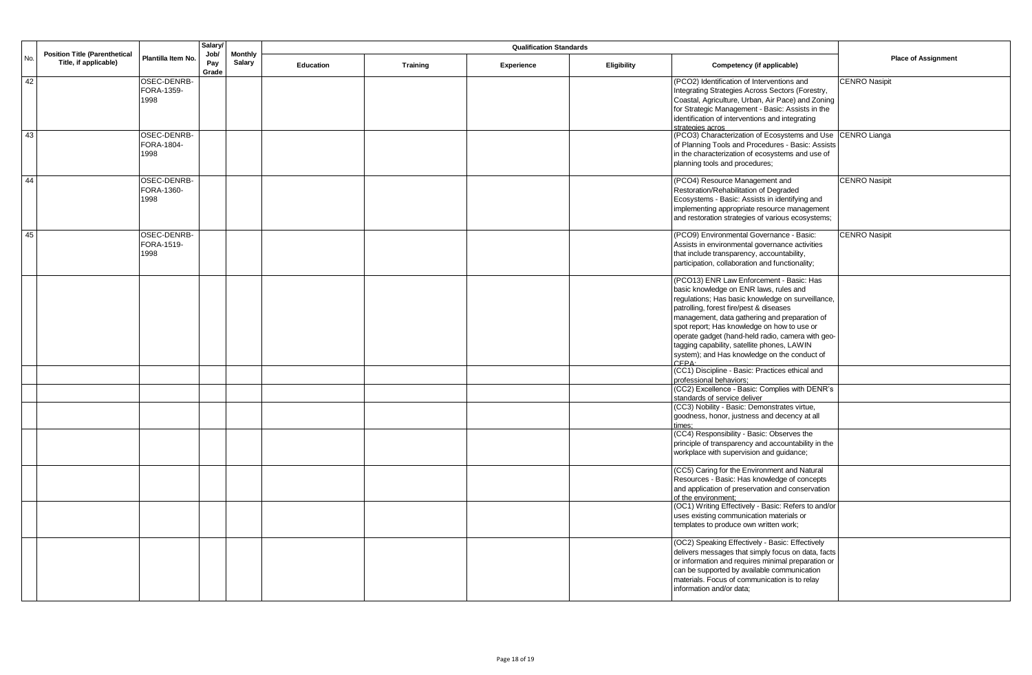|     |                                                               | <b>Salary</b>                     |                      |                                 |           |                 |            |             |                                                                                                                                                                                                                                                                                                                                                                                                                                        |                            |
|-----|---------------------------------------------------------------|-----------------------------------|----------------------|---------------------------------|-----------|-----------------|------------|-------------|----------------------------------------------------------------------------------------------------------------------------------------------------------------------------------------------------------------------------------------------------------------------------------------------------------------------------------------------------------------------------------------------------------------------------------------|----------------------------|
| No. | <b>Position Title (Parenthetical</b><br>Title, if applicable) | Plantilla Item No.                | Job/<br>Pay<br>Grade | <b>Monthly</b><br><b>Salary</b> | Education | <b>Training</b> | Experience | Eligibility | Competency (if applicable)                                                                                                                                                                                                                                                                                                                                                                                                             | <b>Place of Assignment</b> |
| 42  |                                                               | OSEC-DENRB-<br>FORA-1359-<br>1998 |                      |                                 |           |                 |            |             | (PCO2) Identification of Interventions and<br>Integrating Strategies Across Sectors (Forestry,<br>Coastal, Agriculture, Urban, Air Pace) and Zoning<br>for Strategic Management - Basic: Assists in the<br>identification of interventions and integrating<br>strategies acros                                                                                                                                                         | <b>CENRO Nasipit</b>       |
| 43  |                                                               | OSEC-DENRB-<br>FORA-1804-<br>1998 |                      |                                 |           |                 |            |             | (PCO3) Characterization of Ecosystems and Use CENRO Lianga<br>of Planning Tools and Procedures - Basic: Assists<br>in the characterization of ecosystems and use of<br>planning tools and procedures;                                                                                                                                                                                                                                  |                            |
| 44  |                                                               | OSEC-DENRB-<br>FORA-1360-<br>1998 |                      |                                 |           |                 |            |             | (PCO4) Resource Management and<br>Restoration/Rehabilitation of Degraded<br>Ecosystems - Basic: Assists in identifying and<br>implementing appropriate resource management<br>and restoration strategies of various ecosystems;                                                                                                                                                                                                        | <b>CENRO Nasipit</b>       |
| 45  |                                                               | OSEC-DENRB-<br>FORA-1519-<br>1998 |                      |                                 |           |                 |            |             | (PCO9) Environmental Governance - Basic:<br>Assists in environmental governance activities<br>that include transparency, accountability,<br>participation, collaboration and functionality;                                                                                                                                                                                                                                            | <b>CENRO Nasipit</b>       |
|     |                                                               |                                   |                      |                                 |           |                 |            |             | (PCO13) ENR Law Enforcement - Basic: Has<br>basic knowledge on ENR laws, rules and<br>regulations; Has basic knowledge on surveillance,<br>patrolling, forest fire/pest & diseases<br>management, data gathering and preparation of<br>spot report; Has knowledge on how to use or<br>operate gadget (hand-held radio, camera with geo-<br>tagging capability, satellite phones, LAWIN<br>system); and Has knowledge on the conduct of |                            |
|     |                                                               |                                   |                      |                                 |           |                 |            |             | $C$ FPA $\cdot$<br>(CC1) Discipline - Basic: Practices ethical and<br>professional behaviors;<br>(CC2) Excellence - Basic: Complies with DENR's                                                                                                                                                                                                                                                                                        |                            |
|     |                                                               |                                   |                      |                                 |           |                 |            |             | standards of service deliver<br>(CC3) Nobility - Basic: Demonstrates virtue,<br>goodness, honor, justness and decency at all<br>imes:                                                                                                                                                                                                                                                                                                  |                            |
|     |                                                               |                                   |                      |                                 |           |                 |            |             | (CC4) Responsibility - Basic: Observes the<br>principle of transparency and accountability in the<br>workplace with supervision and guidance;                                                                                                                                                                                                                                                                                          |                            |
|     |                                                               |                                   |                      |                                 |           |                 |            |             | (CC5) Caring for the Environment and Natural<br>Resources - Basic: Has knowledge of concepts<br>and application of preservation and conservation<br>of the environment;                                                                                                                                                                                                                                                                |                            |
|     |                                                               |                                   |                      |                                 |           |                 |            |             | (OC1) Writing Effectively - Basic: Refers to and/or<br>uses existing communication materials or<br>templates to produce own written work;                                                                                                                                                                                                                                                                                              |                            |
|     |                                                               |                                   |                      |                                 |           |                 |            |             | (OC2) Speaking Effectively - Basic: Effectively<br>delivers messages that simply focus on data, facts<br>or information and requires minimal preparation or<br>can be supported by available communication<br>materials. Focus of communication is to relay<br>information and/or data;                                                                                                                                                |                            |